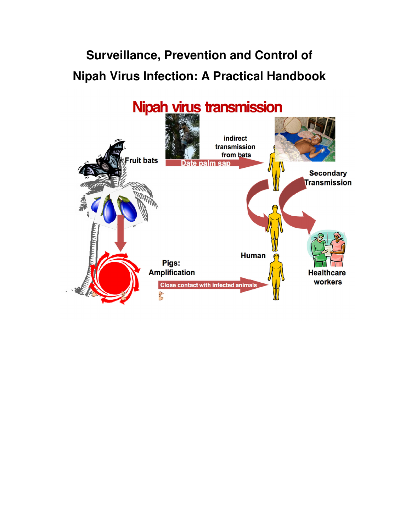# **Surveillance, Prevention and Control of Nipah Virus Infection: A Practical Handbook**

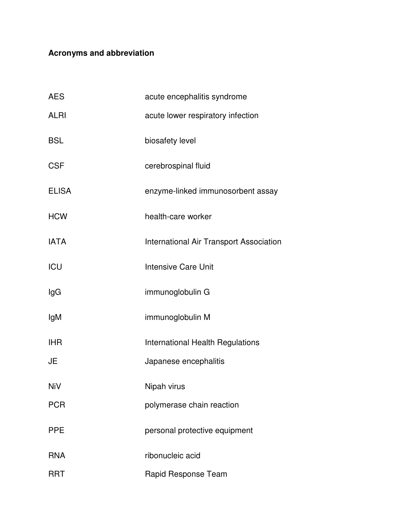## **Acronyms and abbreviation**

| <b>AES</b>   | acute encephalitis syndrome                    |
|--------------|------------------------------------------------|
| <b>ALRI</b>  | acute lower respiratory infection              |
| <b>BSL</b>   | biosafety level                                |
| <b>CSF</b>   | cerebrospinal fluid                            |
| <b>ELISA</b> | enzyme-linked immunosorbent assay              |
| <b>HCW</b>   | health-care worker                             |
| <b>IATA</b>  | <b>International Air Transport Association</b> |
| <b>ICU</b>   | <b>Intensive Care Unit</b>                     |
| lgG          | immunoglobulin G                               |
| lgM          | immunoglobulin M                               |
| <b>IHR</b>   | International Health Regulations               |
| JE           | Japanese encephalitis                          |
| <b>NiV</b>   | Nipah virus                                    |
| <b>PCR</b>   | polymerase chain reaction                      |
| <b>PPE</b>   | personal protective equipment                  |
| <b>RNA</b>   | ribonucleic acid                               |
| <b>RRT</b>   | Rapid Response Team                            |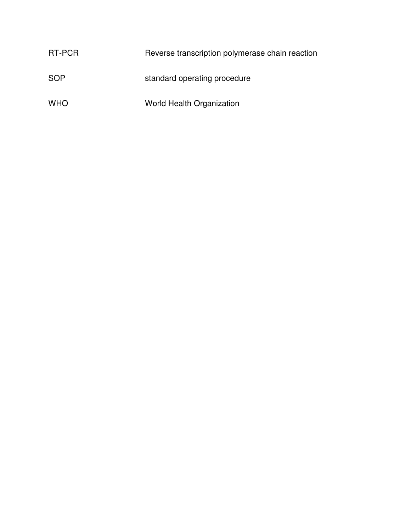| RT-PCR     | Reverse transcription polymerase chain reaction |
|------------|-------------------------------------------------|
| SOP        | standard operating procedure                    |
| <b>WHO</b> | World Health Organization                       |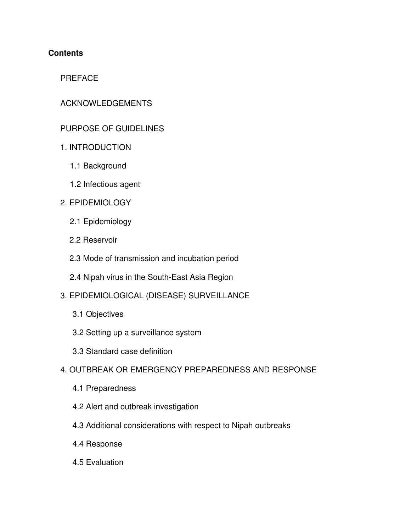## **Contents**

## PREFACE

## ACKNOWLEDGEMENTS

## PURPOSE OF GUIDELINES

- 1. INTRODUCTION
	- 1.1 Background
	- 1.2 Infectious agent
- 2. EPIDEMIOLOGY
	- 2.1 Epidemiology
	- 2.2 Reservoir
	- 2.3 Mode of transmission and incubation period
	- 2.4 Nipah virus in the South-East Asia Region
- 3. EPIDEMIOLOGICAL (DISEASE) SURVEILLANCE
	- 3.1 Objectives
	- 3.2 Setting up a surveillance system
	- 3.3 Standard case definition
- 4. OUTBREAK OR EMERGENCY PREPAREDNESS AND RESPONSE
	- 4.1 Preparedness
	- 4.2 Alert and outbreak investigation
	- 4.3 Additional considerations with respect to Nipah outbreaks
	- 4.4 Response
	- 4.5 Evaluation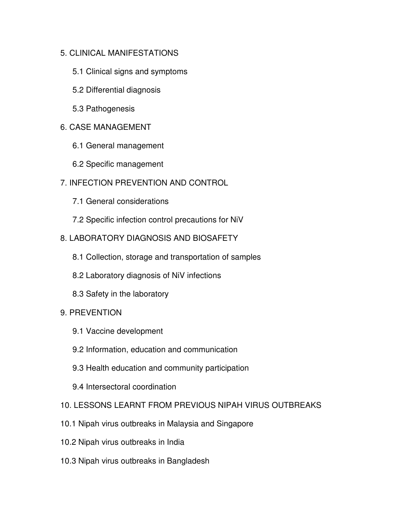### 5. CLINICAL MANIFESTATIONS

- 5.1 Clinical signs and symptoms
- 5.2 Differential diagnosis
- 5.3 Pathogenesis

### 6. CASE MANAGEMENT

- 6.1 General management
- 6.2 Specific management
- 7. INFECTION PREVENTION AND CONTROL
	- 7.1 General considerations
	- 7.2 Specific infection control precautions for NiV

### 8. LABORATORY DIAGNOSIS AND BIOSAFETY

- 8.1 Collection, storage and transportation of samples
- 8.2 Laboratory diagnosis of NiV infections
- 8.3 Safety in the laboratory

#### 9. PREVENTION

- 9.1 Vaccine development
- 9.2 Information, education and communication
- 9.3 Health education and community participation
- 9.4 Intersectoral coordination
- 10. LESSONS LEARNT FROM PREVIOUS NIPAH VIRUS OUTBREAKS
- 10.1 Nipah virus outbreaks in Malaysia and Singapore
- 10.2 Nipah virus outbreaks in India
- 10.3 Nipah virus outbreaks in Bangladesh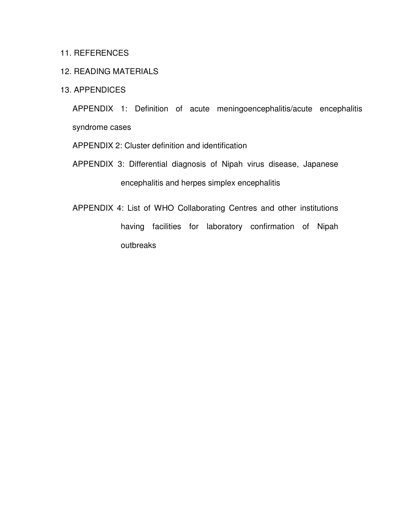#### 11. REFERENCES

#### 12. READING MATERIALS

#### 13. APPENDICES

APPENDIX 1: Definition of acute meningoencephalitis/acute encephalitis syndrome cases

APPENDIX 2: Cluster definition and identification

- APPENDIX 3: Differential diagnosis of Nipah virus disease, Japanese encephalitis and herpes simplex encephalitis
- APPENDIX 4: List of WHO Collaborating Centres and other institutions having facilities for laboratory confirmation of Nipah outbreaks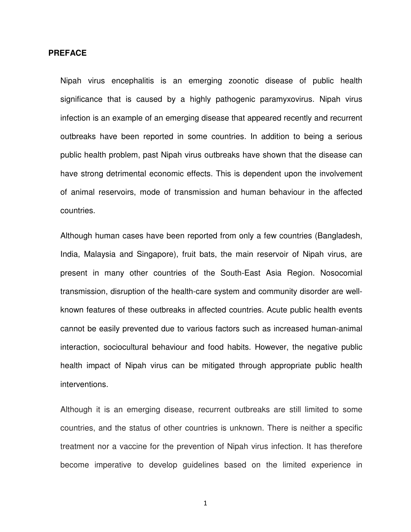#### **PREFACE**

Nipah virus encephalitis is an emerging zoonotic disease of public health significance that is caused by a highly pathogenic paramyxovirus. Nipah virus infection is an example of an emerging disease that appeared recently and recurrent outbreaks have been reported in some countries. In addition to being a serious public health problem, past Nipah virus outbreaks have shown that the disease can have strong detrimental economic effects. This is dependent upon the involvement of animal reservoirs, mode of transmission and human behaviour in the affected countries.

Although human cases have been reported from only a few countries (Bangladesh, India, Malaysia and Singapore), fruit bats, the main reservoir of Nipah virus, are present in many other countries of the South-East Asia Region. Nosocomial transmission, disruption of the health-care system and community disorder are wellknown features of these outbreaks in affected countries. Acute public health events cannot be easily prevented due to various factors such as increased human-animal interaction, sociocultural behaviour and food habits. However, the negative public health impact of Nipah virus can be mitigated through appropriate public health interventions.

Although it is an emerging disease, recurrent outbreaks are still limited to some countries, and the status of other countries is unknown. There is neither a specific treatment nor a vaccine for the prevention of Nipah virus infection. It has therefore become imperative to develop guidelines based on the limited experience in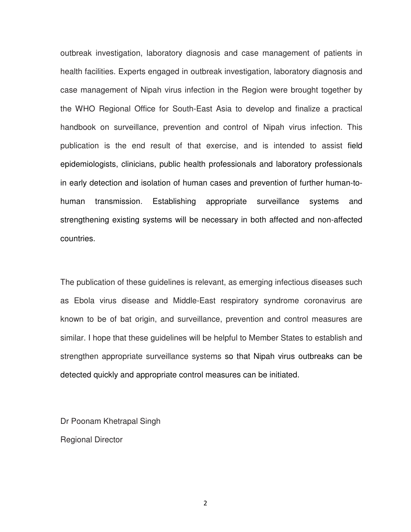outbreak investigation, laboratory diagnosis and case management of patients in health facilities. Experts engaged in outbreak investigation, laboratory diagnosis and case management of Nipah virus infection in the Region were brought together by the WHO Regional Office for South-East Asia to develop and finalize a practical handbook on surveillance, prevention and control of Nipah virus infection. This publication is the end result of that exercise, and is intended to assist field epidemiologists, clinicians, public health professionals and laboratory professionals in early detection and isolation of human cases and prevention of further human-tohuman transmission. Establishing appropriate surveillance systems and strengthening existing systems will be necessary in both affected and non-affected countries.

The publication of these guidelines is relevant, as emerging infectious diseases such as Ebola virus disease and Middle-East respiratory syndrome coronavirus are known to be of bat origin, and surveillance, prevention and control measures are similar. I hope that these guidelines will be helpful to Member States to establish and strengthen appropriate surveillance systems so that Nipah virus outbreaks can be detected quickly and appropriate control measures can be initiated.

Dr Poonam Khetrapal Singh Regional Director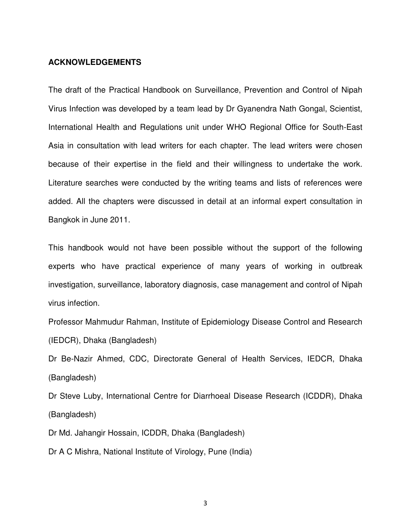#### **ACKNOWLEDGEMENTS**

The draft of the Practical Handbook on Surveillance, Prevention and Control of Nipah Virus Infection was developed by a team lead by Dr Gyanendra Nath Gongal, Scientist, International Health and Regulations unit under WHO Regional Office for South-East Asia in consultation with lead writers for each chapter. The lead writers were chosen because of their expertise in the field and their willingness to undertake the work. Literature searches were conducted by the writing teams and lists of references were added. All the chapters were discussed in detail at an informal expert consultation in Bangkok in June 2011.

This handbook would not have been possible without the support of the following experts who have practical experience of many years of working in outbreak investigation, surveillance, laboratory diagnosis, case management and control of Nipah virus infection.

Professor Mahmudur Rahman, Institute of Epidemiology Disease Control and Research (IEDCR), Dhaka (Bangladesh)

Dr Be-Nazir Ahmed, CDC, Directorate General of Health Services, IEDCR, Dhaka (Bangladesh)

Dr Steve Luby, International Centre for Diarrhoeal Disease Research (ICDDR), Dhaka (Bangladesh)

Dr Md. Jahangir Hossain, ICDDR, Dhaka (Bangladesh)

Dr A C Mishra, National Institute of Virology, Pune (India)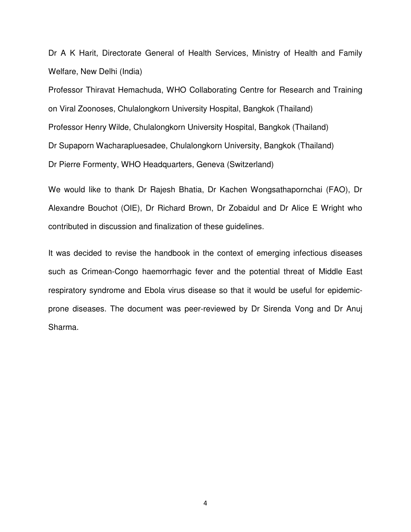Dr A K Harit, Directorate General of Health Services, Ministry of Health and Family Welfare, New Delhi (India)

Professor Thiravat Hemachuda, WHO Collaborating Centre for Research and Training on Viral Zoonoses, Chulalongkorn University Hospital, Bangkok (Thailand) Professor Henry Wilde, Chulalongkorn University Hospital, Bangkok (Thailand) Dr Supaporn Wacharapluesadee, Chulalongkorn University, Bangkok (Thailand) Dr Pierre Formenty, WHO Headquarters, Geneva (Switzerland)

We would like to thank Dr Rajesh Bhatia, Dr Kachen Wongsathapornchai (FAO), Dr Alexandre Bouchot (OIE), Dr Richard Brown, Dr Zobaidul and Dr Alice E Wright who contributed in discussion and finalization of these guidelines.

It was decided to revise the handbook in the context of emerging infectious diseases such as Crimean-Congo haemorrhagic fever and the potential threat of Middle East respiratory syndrome and Ebola virus disease so that it would be useful for epidemicprone diseases. The document was peer-reviewed by Dr Sirenda Vong and Dr Anuj Sharma.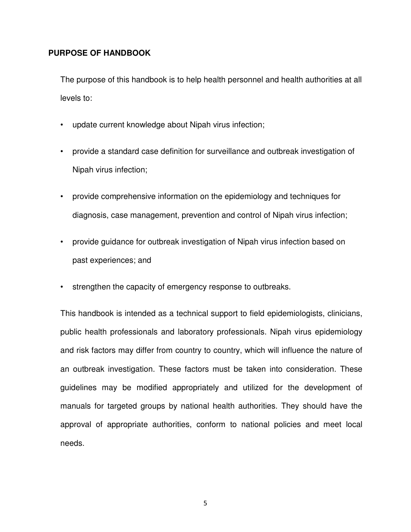#### **PURPOSE OF HANDBOOK**

The purpose of this handbook is to help health personnel and health authorities at all levels to:

- update current knowledge about Nipah virus infection;
- provide a standard case definition for surveillance and outbreak investigation of Nipah virus infection;
- provide comprehensive information on the epidemiology and techniques for diagnosis, case management, prevention and control of Nipah virus infection;
- provide guidance for outbreak investigation of Nipah virus infection based on past experiences; and
- strengthen the capacity of emergency response to outbreaks.

This handbook is intended as a technical support to field epidemiologists, clinicians, public health professionals and laboratory professionals. Nipah virus epidemiology and risk factors may differ from country to country, which will influence the nature of an outbreak investigation. These factors must be taken into consideration. These guidelines may be modified appropriately and utilized for the development of manuals for targeted groups by national health authorities. They should have the approval of appropriate authorities, conform to national policies and meet local needs.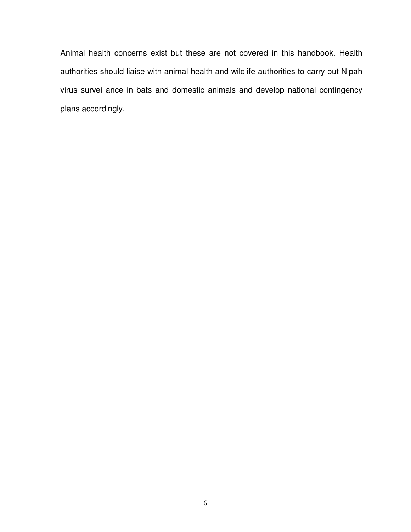Animal health concerns exist but these are not covered in this handbook. Health authorities should liaise with animal health and wildlife authorities to carry out Nipah virus surveillance in bats and domestic animals and develop national contingency plans accordingly.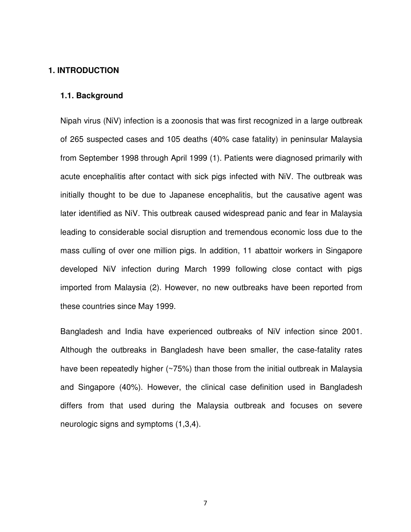#### **1. INTRODUCTION**

#### **1.1. Background**

Nipah virus (NiV) infection is a zoonosis that was first recognized in a large outbreak of 265 suspected cases and 105 deaths (40% case fatality) in peninsular Malaysia from September 1998 through April 1999 (1). Patients were diagnosed primarily with acute encephalitis after contact with sick pigs infected with NiV. The outbreak was initially thought to be due to Japanese encephalitis, but the causative agent was later identified as NiV. This outbreak caused widespread panic and fear in Malaysia leading to considerable social disruption and tremendous economic loss due to the mass culling of over one million pigs. In addition, 11 abattoir workers in Singapore developed NiV infection during March 1999 following close contact with pigs imported from Malaysia (2). However, no new outbreaks have been reported from these countries since May 1999.

Bangladesh and India have experienced outbreaks of NiV infection since 2001. Although the outbreaks in Bangladesh have been smaller, the case-fatality rates have been repeatedly higher (~75%) than those from the initial outbreak in Malaysia and Singapore (40%). However, the clinical case definition used in Bangladesh differs from that used during the Malaysia outbreak and focuses on severe neurologic signs and symptoms (1,3,4).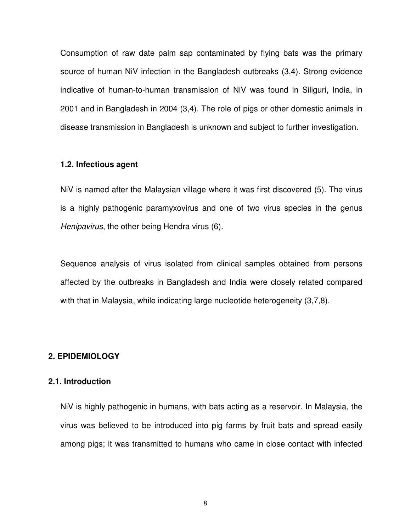Consumption of raw date palm sap contaminated by flying bats was the primary source of human NiV infection in the Bangladesh outbreaks (3,4). Strong evidence indicative of human-to-human transmission of NiV was found in Siliguri, India, in 2001 and in Bangladesh in 2004 (3,4). The role of pigs or other domestic animals in disease transmission in Bangladesh is unknown and subject to further investigation.

#### **1.2. Infectious agent**

NiV is named after the Malaysian village where it was first discovered (5). The virus is a highly pathogenic paramyxovirus and one of two virus species in the genus Henipavirus, the other being Hendra virus (6).

Sequence analysis of virus isolated from clinical samples obtained from persons affected by the outbreaks in Bangladesh and India were closely related compared with that in Malaysia, while indicating large nucleotide heterogeneity (3,7,8).

#### **2. EPIDEMIOLOGY**

#### **2.1. Introduction**

NiV is highly pathogenic in humans, with bats acting as a reservoir. In Malaysia, the virus was believed to be introduced into pig farms by fruit bats and spread easily among pigs; it was transmitted to humans who came in close contact with infected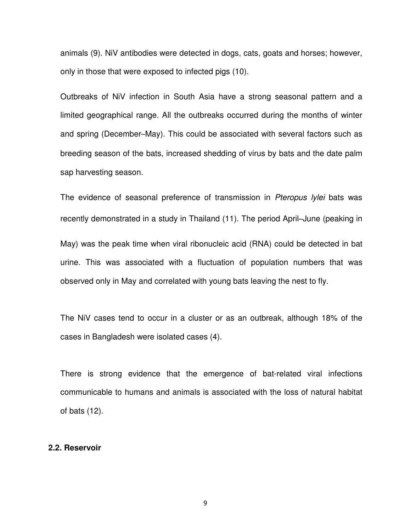animals (9). NiV antibodies were detected in dogs, cats, goats and horses; however, only in those that were exposed to infected pigs (10).

Outbreaks of NiV infection in South Asia have a strong seasonal pattern and a limited geographical range. All the outbreaks occurred during the months of winter and spring (December–May). This could be associated with several factors such as breeding season of the bats, increased shedding of virus by bats and the date palm sap harvesting season.

The evidence of seasonal preference of transmission in Pteropus lylei bats was recently demonstrated in a study in Thailand (11). The period April–June (peaking in

May) was the peak time when viral ribonucleic acid (RNA) could be detected in bat urine. This was associated with a fluctuation of population numbers that was observed only in May and correlated with young bats leaving the nest to fly.

The NiV cases tend to occur in a cluster or as an outbreak, although 18% of the cases in Bangladesh were isolated cases (4).

There is strong evidence that the emergence of bat-related viral infections communicable to humans and animals is associated with the loss of natural habitat of bats (12).

#### **2.2. Reservoir**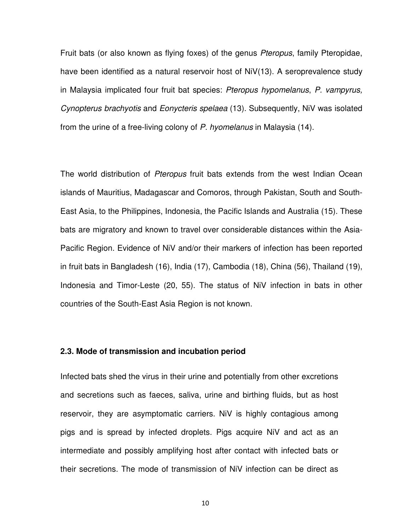Fruit bats (or also known as flying foxes) of the genus *Pteropus*, family Pteropidae, have been identified as a natural reservoir host of NiV(13). A seroprevalence study in Malaysia implicated four fruit bat species: Pteropus hypomelanus, P. vampyrus, Cynopterus brachyotis and Eonycteris spelaea (13). Subsequently, NiV was isolated from the urine of a free-living colony of P. hyomelanus in Malaysia (14).

The world distribution of *Pteropus* fruit bats extends from the west Indian Ocean islands of Mauritius, Madagascar and Comoros, through Pakistan, South and South-East Asia, to the Philippines, Indonesia, the Pacific Islands and Australia (15). These bats are migratory and known to travel over considerable distances within the Asia-Pacific Region. Evidence of NiV and/or their markers of infection has been reported in fruit bats in Bangladesh (16), India (17), Cambodia (18), China (56), Thailand (19), Indonesia and Timor-Leste (20, 55). The status of NiV infection in bats in other countries of the South-East Asia Region is not known.

#### **2.3. Mode of transmission and incubation period**

Infected bats shed the virus in their urine and potentially from other excretions and secretions such as faeces, saliva, urine and birthing fluids, but as host reservoir, they are asymptomatic carriers. NiV is highly contagious among pigs and is spread by infected droplets. Pigs acquire NiV and act as an intermediate and possibly amplifying host after contact with infected bats or their secretions. The mode of transmission of NiV infection can be direct as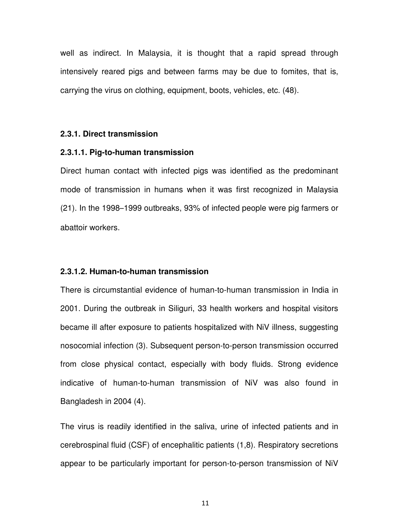well as indirect. In Malaysia, it is thought that a rapid spread through intensively reared pigs and between farms may be due to fomites, that is, carrying the virus on clothing, equipment, boots, vehicles, etc. (48).

#### **2.3.1. Direct transmission**

#### **2.3.1.1. Pig-to-human transmission**

Direct human contact with infected pigs was identified as the predominant mode of transmission in humans when it was first recognized in Malaysia (21). In the 1998–1999 outbreaks, 93% of infected people were pig farmers or abattoir workers.

#### **2.3.1.2. Human-to-human transmission**

There is circumstantial evidence of human-to-human transmission in India in 2001. During the outbreak in Siliguri, 33 health workers and hospital visitors became ill after exposure to patients hospitalized with NiV illness, suggesting nosocomial infection (3). Subsequent person-to-person transmission occurred from close physical contact, especially with body fluids. Strong evidence indicative of human-to-human transmission of NiV was also found in Bangladesh in 2004 (4).

The virus is readily identified in the saliva, urine of infected patients and in cerebrospinal fluid (CSF) of encephalitic patients (1,8). Respiratory secretions appear to be particularly important for person-to-person transmission of NiV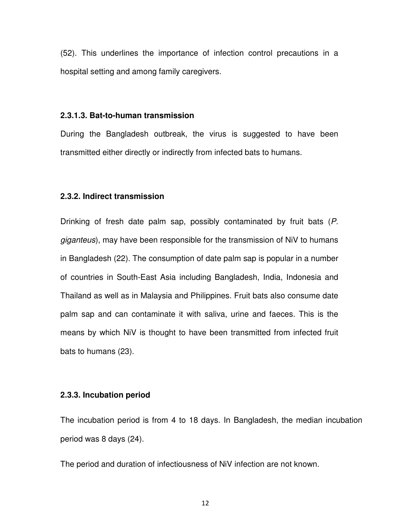(52). This underlines the importance of infection control precautions in a hospital setting and among family caregivers.

#### **2.3.1.3. Bat-to-human transmission**

During the Bangladesh outbreak, the virus is suggested to have been transmitted either directly or indirectly from infected bats to humans.

#### **2.3.2. Indirect transmission**

Drinking of fresh date palm sap, possibly contaminated by fruit bats (P. giganteus), may have been responsible for the transmission of NiV to humans in Bangladesh (22). The consumption of date palm sap is popular in a number of countries in South-East Asia including Bangladesh, India, Indonesia and Thailand as well as in Malaysia and Philippines. Fruit bats also consume date palm sap and can contaminate it with saliva, urine and faeces. This is the means by which NiV is thought to have been transmitted from infected fruit bats to humans (23).

#### **2.3.3. Incubation period**

The incubation period is from 4 to 18 days. In Bangladesh, the median incubation period was 8 days (24).

The period and duration of infectiousness of NiV infection are not known.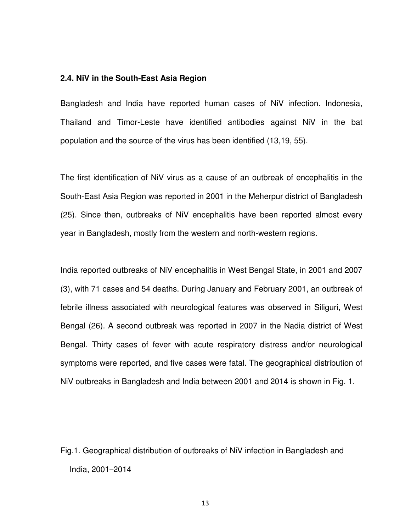#### **2.4. NiV in the South-East Asia Region**

Bangladesh and India have reported human cases of NiV infection. Indonesia, Thailand and Timor-Leste have identified antibodies against NiV in the bat population and the source of the virus has been identified (13,19, 55).

The first identification of NiV virus as a cause of an outbreak of encephalitis in the South-East Asia Region was reported in 2001 in the Meherpur district of Bangladesh (25). Since then, outbreaks of NiV encephalitis have been reported almost every year in Bangladesh, mostly from the western and north-western regions.

India reported outbreaks of NiV encephalitis in West Bengal State, in 2001 and 2007 (3), with 71 cases and 54 deaths. During January and February 2001, an outbreak of febrile illness associated with neurological features was observed in Siliguri, West Bengal (26). A second outbreak was reported in 2007 in the Nadia district of West Bengal. Thirty cases of fever with acute respiratory distress and/or neurological symptoms were reported, and five cases were fatal. The geographical distribution of NiV outbreaks in Bangladesh and India between 2001 and 2014 is shown in Fig. 1.

Fig.1. Geographical distribution of outbreaks of NiV infection in Bangladesh and India, 2001–2014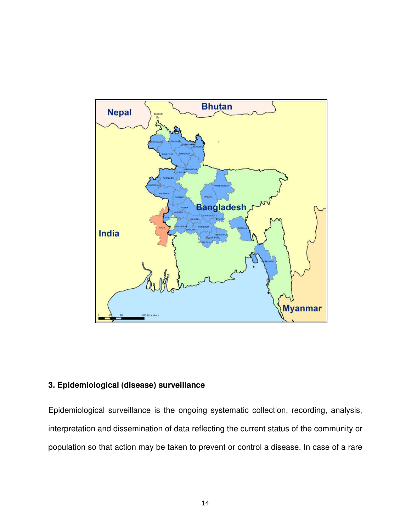

## **3. Epidemiological (disease) surveillance**

Epidemiological surveillance is the ongoing systematic collection, recording, analysis, interpretation and dissemination of data reflecting the current status of the community or population so that action may be taken to prevent or control a disease. In case of a rare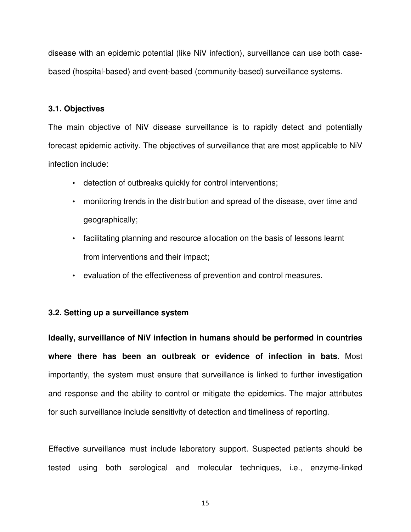disease with an epidemic potential (like NiV infection), surveillance can use both casebased (hospital-based) and event-based (community-based) surveillance systems.

#### **3.1. Objectives**

The main objective of NiV disease surveillance is to rapidly detect and potentially forecast epidemic activity. The objectives of surveillance that are most applicable to NiV infection include:

- detection of outbreaks quickly for control interventions;
- monitoring trends in the distribution and spread of the disease, over time and geographically;
- facilitating planning and resource allocation on the basis of lessons learnt from interventions and their impact;
- evaluation of the effectiveness of prevention and control measures.

#### **3.2. Setting up a surveillance system**

**Ideally, surveillance of NiV infection in humans should be performed in countries where there has been an outbreak or evidence of infection in bats**. Most importantly, the system must ensure that surveillance is linked to further investigation and response and the ability to control or mitigate the epidemics. The major attributes for such surveillance include sensitivity of detection and timeliness of reporting.

Effective surveillance must include laboratory support. Suspected patients should be tested using both serological and molecular techniques, i.e., enzyme-linked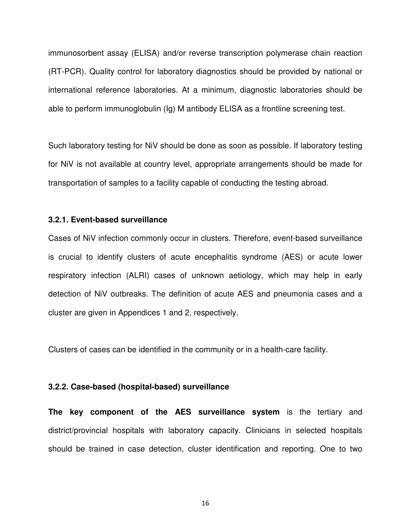immunosorbent assay (ELISA) and/or reverse transcription polymerase chain reaction (RT-PCR). Quality control for laboratory diagnostics should be provided by national or international reference laboratories. At a minimum, diagnostic laboratories should be able to perform immunoglobulin (Ig) M antibody ELISA as a frontline screening test.

Such laboratory testing for NiV should be done as soon as possible. If laboratory testing for NiV is not available at country level, appropriate arrangements should be made for transportation of samples to a facility capable of conducting the testing abroad.

#### **3.2.1. Event-based surveillance**

Cases of NiV infection commonly occur in clusters. Therefore, event-based surveillance is crucial to identify clusters of acute encephalitis syndrome (AES) or acute lower respiratory infection (ALRI) cases of unknown aetiology, which may help in early detection of NiV outbreaks. The definition of acute AES and pneumonia cases and a cluster are given in Appendices 1 and 2, respectively.

Clusters of cases can be identified in the community or in a health-care facility.

#### **3.2.2. Case-based (hospital-based) surveillance**

**The key component of the AES surveillance system** is the tertiary and district/provincial hospitals with laboratory capacity. Clinicians in selected hospitals should be trained in case detection, cluster identification and reporting. One to two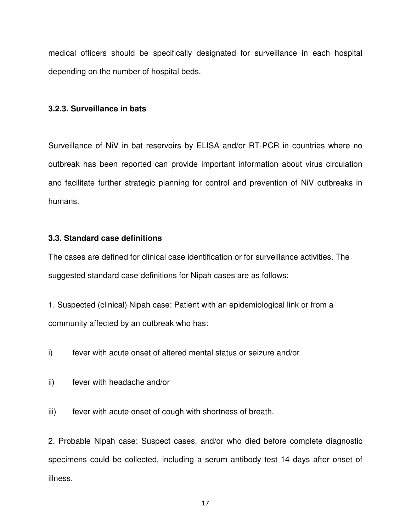medical officers should be specifically designated for surveillance in each hospital depending on the number of hospital beds.

#### **3.2.3. Surveillance in bats**

Surveillance of NiV in bat reservoirs by ELISA and/or RT-PCR in countries where no outbreak has been reported can provide important information about virus circulation and facilitate further strategic planning for control and prevention of NiV outbreaks in humans.

#### **3.3. Standard case definitions**

The cases are defined for clinical case identification or for surveillance activities. The suggested standard case definitions for Nipah cases are as follows:

1. Suspected (clinical) Nipah case: Patient with an epidemiological link or from a community affected by an outbreak who has:

i) fever with acute onset of altered mental status or seizure and/or

ii) fever with headache and/or

iii) fever with acute onset of cough with shortness of breath.

2. Probable Nipah case: Suspect cases, and/or who died before complete diagnostic specimens could be collected, including a serum antibody test 14 days after onset of illness.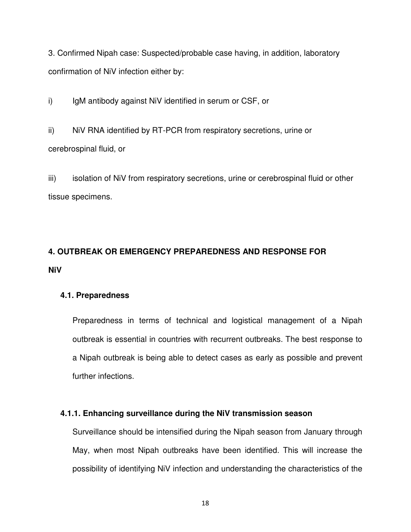3. Confirmed Nipah case: Suspected/probable case having, in addition, laboratory confirmation of NiV infection either by:

i) IgM antibody against NiV identified in serum or CSF, or

ii) NiV RNA identified by RT-PCR from respiratory secretions, urine or cerebrospinal fluid, or

iii) isolation of NiV from respiratory secretions, urine or cerebrospinal fluid or other tissue specimens.

## **4. OUTBREAK OR EMERGENCY PREPAREDNESS AND RESPONSE FOR NiV**

#### **4.1. Preparedness**

Preparedness in terms of technical and logistical management of a Nipah outbreak is essential in countries with recurrent outbreaks. The best response to a Nipah outbreak is being able to detect cases as early as possible and prevent further infections.

#### **4.1.1. Enhancing surveillance during the NiV transmission season**

Surveillance should be intensified during the Nipah season from January through May, when most Nipah outbreaks have been identified. This will increase the possibility of identifying NiV infection and understanding the characteristics of the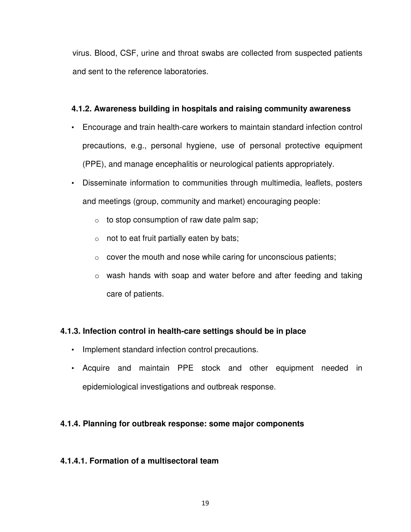virus. Blood, CSF, urine and throat swabs are collected from suspected patients and sent to the reference laboratories.

## **4.1.2. Awareness building in hospitals and raising community awareness**

- Encourage and train health-care workers to maintain standard infection control precautions, e.g., personal hygiene, use of personal protective equipment (PPE), and manage encephalitis or neurological patients appropriately.
- Disseminate information to communities through multimedia, leaflets, posters and meetings (group, community and market) encouraging people:
	- $\circ$  to stop consumption of raw date palm sap;
	- $\circ$  not to eat fruit partially eaten by bats;
	- $\circ$  cover the mouth and nose while caring for unconscious patients;
	- o wash hands with soap and water before and after feeding and taking care of patients.

## **4.1.3. Infection control in health-care settings should be in place**

- Implement standard infection control precautions.
- Acquire and maintain PPE stock and other equipment needed in epidemiological investigations and outbreak response.

## **4.1.4. Planning for outbreak response: some major components**

## **4.1.4.1. Formation of a multisectoral team**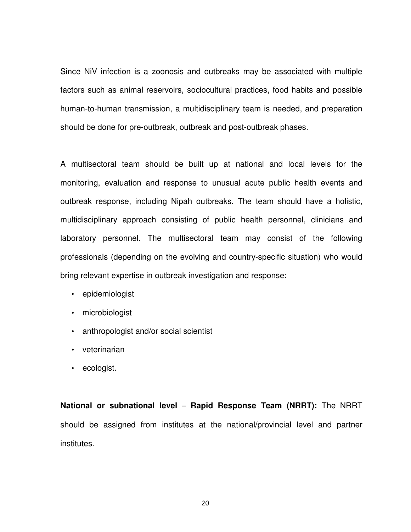Since NiV infection is a zoonosis and outbreaks may be associated with multiple factors such as animal reservoirs, sociocultural practices, food habits and possible human-to-human transmission, a multidisciplinary team is needed, and preparation should be done for pre-outbreak, outbreak and post-outbreak phases.

A multisectoral team should be built up at national and local levels for the monitoring, evaluation and response to unusual acute public health events and outbreak response, including Nipah outbreaks. The team should have a holistic, multidisciplinary approach consisting of public health personnel, clinicians and laboratory personnel. The multisectoral team may consist of the following professionals (depending on the evolving and country-specific situation) who would bring relevant expertise in outbreak investigation and response:

- epidemiologist
- microbiologist
- anthropologist and/or social scientist
- veterinarian
- ecologist.

**National or subnational level** – **Rapid Response Team (NRRT):** The NRRT should be assigned from institutes at the national/provincial level and partner institutes.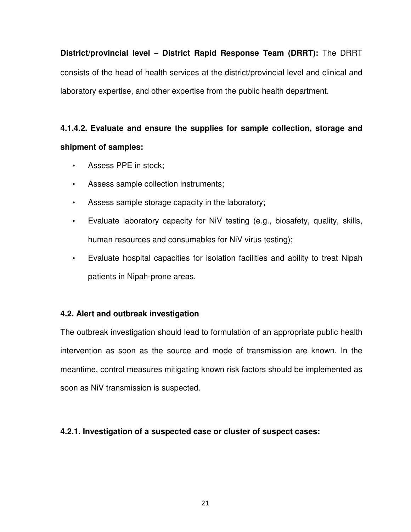**District/provincial level** – **District Rapid Response Team (DRRT):** The DRRT consists of the head of health services at the district/provincial level and clinical and laboratory expertise, and other expertise from the public health department.

## **4.1.4.2. Evaluate and ensure the supplies for sample collection, storage and shipment of samples:**

- Assess PPE in stock;
- Assess sample collection instruments;
- Assess sample storage capacity in the laboratory;
- Evaluate laboratory capacity for NiV testing (e.g., biosafety, quality, skills, human resources and consumables for NiV virus testing);
- Evaluate hospital capacities for isolation facilities and ability to treat Nipah patients in Nipah-prone areas.

## **4.2. Alert and outbreak investigation**

The outbreak investigation should lead to formulation of an appropriate public health intervention as soon as the source and mode of transmission are known. In the meantime, control measures mitigating known risk factors should be implemented as soon as NiV transmission is suspected.

## **4.2.1. Investigation of a suspected case or cluster of suspect cases:**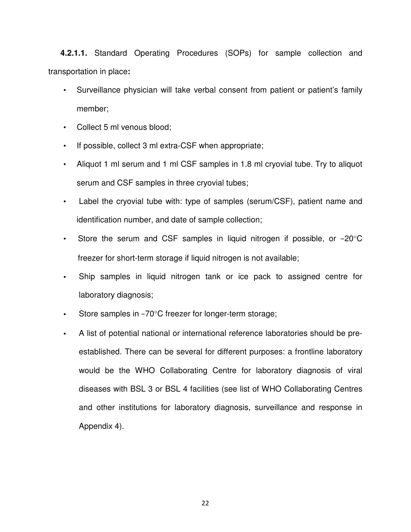**4.2.1.1.** Standard Operating Procedures (SOPs) for sample collection and transportation in place**:**

- Surveillance physician will take verbal consent from patient or patient's family member;
- Collect 5 ml venous blood;
- If possible, collect 3 ml extra-CSF when appropriate;
- Aliquot 1 ml serum and 1 ml CSF samples in 1.8 ml cryovial tube. Try to aliquot serum and CSF samples in three cryovial tubes;
- Label the cryovial tube with: type of samples (serum/CSF), patient name and identification number, and date of sample collection;
- Store the serum and CSF samples in liquid nitrogen if possible, or −20°C freezer for short-term storage if liquid nitrogen is not available;
- **•** Ship samples in liquid nitrogen tank or ice pack to assigned centre for laboratory diagnosis;
- **•** Store samples in −70°C freezer for longer-term storage;
- **•** A list of potential national or international reference laboratories should be preestablished. There can be several for different purposes: a frontline laboratory would be the WHO Collaborating Centre for laboratory diagnosis of viral diseases with BSL 3 or BSL 4 facilities (see list of WHO Collaborating Centres and other institutions for laboratory diagnosis, surveillance and response in Appendix 4).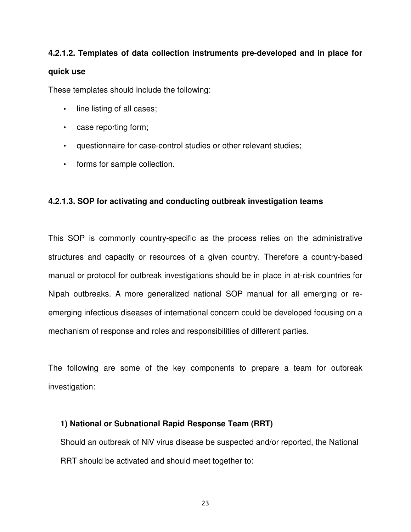## **4.2.1.2. Templates of data collection instruments pre-developed and in place for quick use**

These templates should include the following:

- line listing of all cases;
- case reporting form;
- questionnaire for case-control studies or other relevant studies;
- forms for sample collection.

## **4.2.1.3. SOP for activating and conducting outbreak investigation teams**

This SOP is commonly country-specific as the process relies on the administrative structures and capacity or resources of a given country. Therefore a country-based manual or protocol for outbreak investigations should be in place in at-risk countries for Nipah outbreaks. A more generalized national SOP manual for all emerging or reemerging infectious diseases of international concern could be developed focusing on a mechanism of response and roles and responsibilities of different parties.

The following are some of the key components to prepare a team for outbreak investigation:

## **1) National or Subnational Rapid Response Team (RRT)**

Should an outbreak of NiV virus disease be suspected and/or reported, the National RRT should be activated and should meet together to: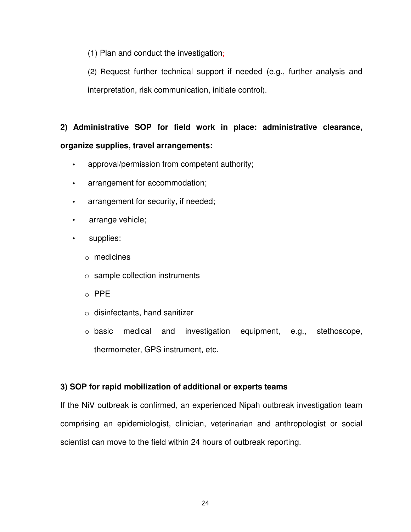(1) Plan and conduct the investigation;

(2) Request further technical support if needed (e.g., further analysis and interpretation, risk communication, initiate control).

## **2) Administrative SOP for field work in place: administrative clearance, organize supplies, travel arrangements:**

- **•** approval/permission from competent authority;
- **•** arrangement for accommodation;
- **•** arrangement for security, if needed;
- arrange vehicle;
- supplies:
	- o medicines
	- o sample collection instruments
	- o PPE
	- o disinfectants, hand sanitizer
	- o basic medical and investigation equipment, e.g., stethoscope, thermometer, GPS instrument, etc.

## **3) SOP for rapid mobilization of additional or experts teams**

If the NiV outbreak is confirmed, an experienced Nipah outbreak investigation team comprising an epidemiologist, clinician, veterinarian and anthropologist or social scientist can move to the field within 24 hours of outbreak reporting.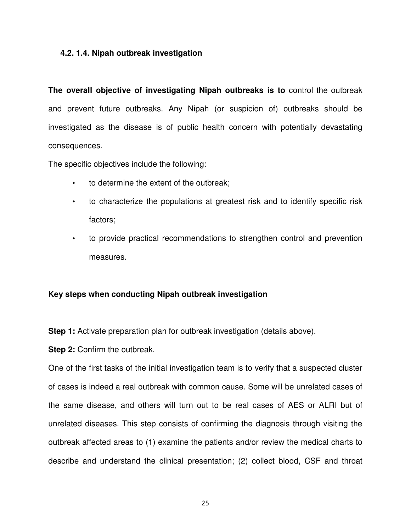#### **4.2. 1.4. Nipah outbreak investigation**

**The overall objective of investigating Nipah outbreaks is to** control the outbreak and prevent future outbreaks. Any Nipah (or suspicion of) outbreaks should be investigated as the disease is of public health concern with potentially devastating consequences.

The specific objectives include the following:

- to determine the extent of the outbreak;
- to characterize the populations at greatest risk and to identify specific risk factors;
- to provide practical recommendations to strengthen control and prevention measures.

#### **Key steps when conducting Nipah outbreak investigation**

**Step 1:** Activate preparation plan for outbreak investigation (details above).

**Step 2: Confirm the outbreak.** 

One of the first tasks of the initial investigation team is to verify that a suspected cluster of cases is indeed a real outbreak with common cause. Some will be unrelated cases of the same disease, and others will turn out to be real cases of AES or ALRI but of unrelated diseases. This step consists of confirming the diagnosis through visiting the outbreak affected areas to (1) examine the patients and/or review the medical charts to describe and understand the clinical presentation; (2) collect blood, CSF and throat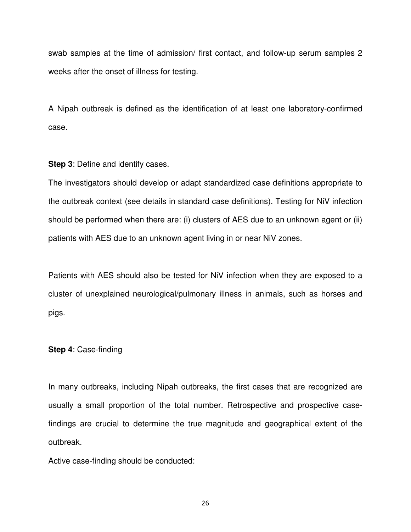swab samples at the time of admission/ first contact, and follow-up serum samples 2 weeks after the onset of illness for testing.

A Nipah outbreak is defined as the identification of at least one laboratory-confirmed case.

**Step 3**: Define and identify cases.

The investigators should develop or adapt standardized case definitions appropriate to the outbreak context (see details in standard case definitions). Testing for NiV infection should be performed when there are: (i) clusters of AES due to an unknown agent or (ii) patients with AES due to an unknown agent living in or near NiV zones.

Patients with AES should also be tested for NiV infection when they are exposed to a cluster of unexplained neurological/pulmonary illness in animals, such as horses and pigs.

#### **Step 4**: Case-finding

In many outbreaks, including Nipah outbreaks, the first cases that are recognized are usually a small proportion of the total number. Retrospective and prospective casefindings are crucial to determine the true magnitude and geographical extent of the outbreak.

Active case-finding should be conducted: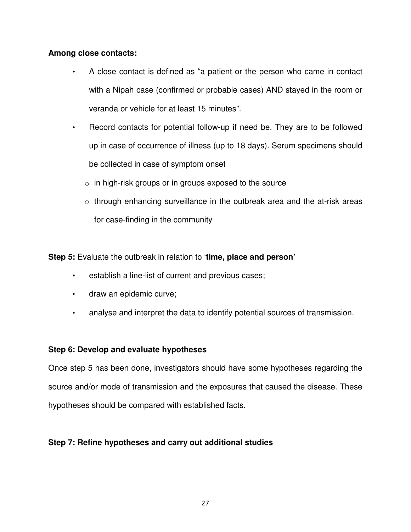## **Among close contacts:**

- A close contact is defined as "a patient or the person who came in contact with a Nipah case (confirmed or probable cases) AND stayed in the room or veranda or vehicle for at least 15 minutes".
- Record contacts for potential follow-up if need be. They are to be followed up in case of occurrence of illness (up to 18 days). Serum specimens should be collected in case of symptom onset
	- $\circ$  in high-risk groups or in groups exposed to the source
	- o through enhancing surveillance in the outbreak area and the at-risk areas for case-finding in the community

**Step 5:** Evaluate the outbreak in relation to '**time, place and person'**

- establish a line-list of current and previous cases;
- draw an epidemic curve;
- analyse and interpret the data to identify potential sources of transmission.

#### **Step 6: Develop and evaluate hypotheses**

Once step 5 has been done, investigators should have some hypotheses regarding the source and/or mode of transmission and the exposures that caused the disease. These hypotheses should be compared with established facts.

## **Step 7: Refine hypotheses and carry out additional studies**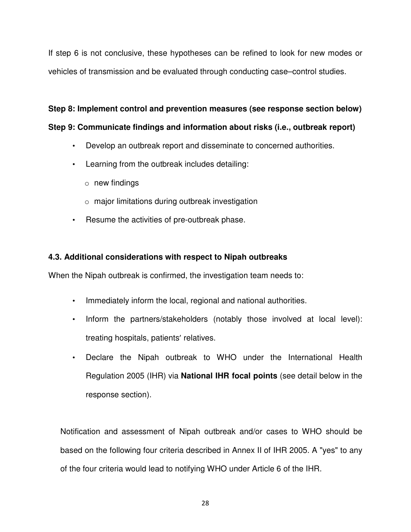If step 6 is not conclusive, these hypotheses can be refined to look for new modes or vehicles of transmission and be evaluated through conducting case–control studies.

## **Step 8: Implement control and prevention measures (see response section below)**

## **Step 9: Communicate findings and information about risks (i.e., outbreak report)**

- Develop an outbreak report and disseminate to concerned authorities.
- Learning from the outbreak includes detailing:
	- $\circ$  new findings
	- $\circ$  major limitations during outbreak investigation
- Resume the activities of pre-outbreak phase.

## **4.3. Additional considerations with respect to Nipah outbreaks**

When the Nipah outbreak is confirmed, the investigation team needs to:

- Immediately inform the local, regional and national authorities.
- Inform the partners/stakeholders (notably those involved at local level): treating hospitals, patients' relatives.
- Declare the Nipah outbreak to WHO under the International Health Regulation 2005 (IHR) via **National IHR focal points** (see detail below in the response section).

Notification and assessment of Nipah outbreak and/or cases to WHO should be based on the following four criteria described in Annex II of IHR 2005. A "yes" to any of the four criteria would lead to notifying WHO under Article 6 of the IHR.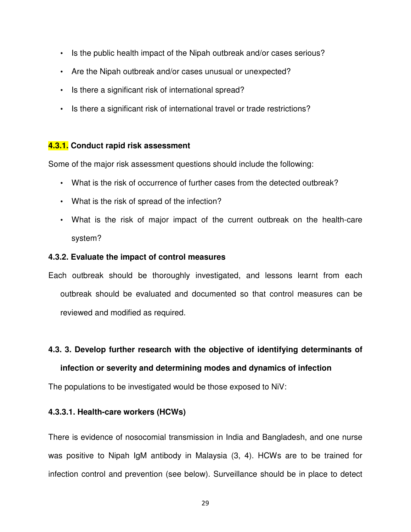- Is the public health impact of the Nipah outbreak and/or cases serious?
- Are the Nipah outbreak and/or cases unusual or unexpected?
- Is there a significant risk of international spread?
- Is there a significant risk of international travel or trade restrictions?

### **4.3.1. Conduct rapid risk assessment**

Some of the major risk assessment questions should include the following:

- What is the risk of occurrence of further cases from the detected outbreak?
- What is the risk of spread of the infection?
- What is the risk of major impact of the current outbreak on the health-care system?

#### **4.3.2. Evaluate the impact of control measures**

Each outbreak should be thoroughly investigated, and lessons learnt from each outbreak should be evaluated and documented so that control measures can be reviewed and modified as required.

#### **4.3. 3. Develop further research with the objective of identifying determinants of**

#### **infection or severity and determining modes and dynamics of infection**

The populations to be investigated would be those exposed to NiV:

#### **4.3.3.1. Health-care workers (HCWs)**

There is evidence of nosocomial transmission in India and Bangladesh, and one nurse was positive to Nipah IgM antibody in Malaysia (3, 4). HCWs are to be trained for infection control and prevention (see below). Surveillance should be in place to detect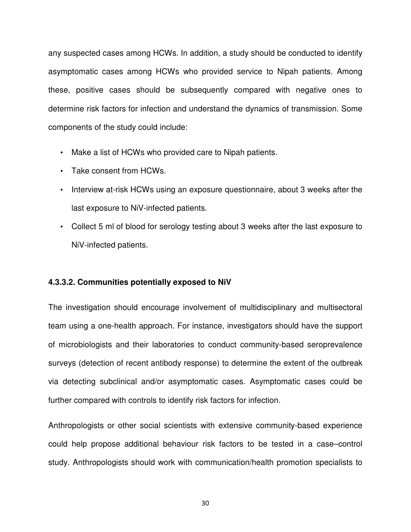any suspected cases among HCWs. In addition, a study should be conducted to identify asymptomatic cases among HCWs who provided service to Nipah patients. Among these, positive cases should be subsequently compared with negative ones to determine risk factors for infection and understand the dynamics of transmission. Some components of the study could include:

- Make a list of HCWs who provided care to Nipah patients.
- Take consent from HCWs.
- Interview at-risk HCWs using an exposure questionnaire, about 3 weeks after the last exposure to NiV-infected patients.
- Collect 5 ml of blood for serology testing about 3 weeks after the last exposure to NiV-infected patients.

#### **4.3.3.2. Communities potentially exposed to NiV**

The investigation should encourage involvement of multidisciplinary and multisectoral team using a one-health approach. For instance, investigators should have the support of microbiologists and their laboratories to conduct community-based seroprevalence surveys (detection of recent antibody response) to determine the extent of the outbreak via detecting subclinical and/or asymptomatic cases. Asymptomatic cases could be further compared with controls to identify risk factors for infection.

Anthropologists or other social scientists with extensive community-based experience could help propose additional behaviour risk factors to be tested in a case–control study. Anthropologists should work with communication/health promotion specialists to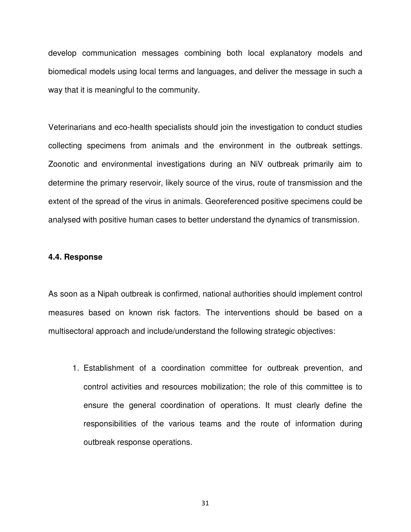develop communication messages combining both local explanatory models and biomedical models using local terms and languages, and deliver the message in such a way that it is meaningful to the community.

Veterinarians and eco-health specialists should join the investigation to conduct studies collecting specimens from animals and the environment in the outbreak settings. Zoonotic and environmental investigations during an NiV outbreak primarily aim to determine the primary reservoir, likely source of the virus, route of transmission and the extent of the spread of the virus in animals. Georeferenced positive specimens could be analysed with positive human cases to better understand the dynamics of transmission.

#### **4.4. Response**

As soon as a Nipah outbreak is confirmed, national authorities should implement control measures based on known risk factors. The interventions should be based on a multisectoral approach and include/understand the following strategic objectives:

1. Establishment of a coordination committee for outbreak prevention, and control activities and resources mobilization; the role of this committee is to ensure the general coordination of operations. It must clearly define the responsibilities of the various teams and the route of information during outbreak response operations.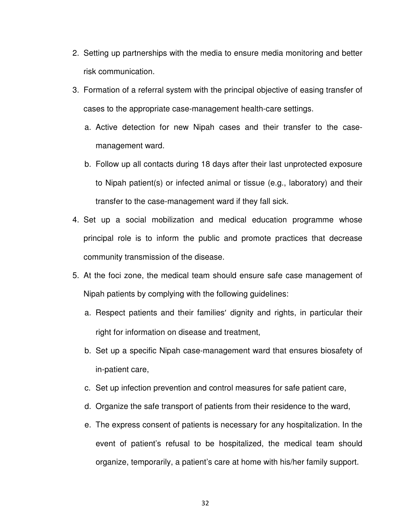- 2. Setting up partnerships with the media to ensure media monitoring and better risk communication.
- 3. Formation of a referral system with the principal objective of easing transfer of cases to the appropriate case-management health-care settings.
	- a. Active detection for new Nipah cases and their transfer to the casemanagement ward.
	- b. Follow up all contacts during 18 days after their last unprotected exposure to Nipah patient(s) or infected animal or tissue (e.g., laboratory) and their transfer to the case-management ward if they fall sick.
- 4. Set up a social mobilization and medical education programme whose principal role is to inform the public and promote practices that decrease community transmission of the disease.
- 5. At the foci zone, the medical team should ensure safe case management of Nipah patients by complying with the following guidelines:
	- a. Respect patients and their families' dignity and rights, in particular their right for information on disease and treatment,
	- b. Set up a specific Nipah case-management ward that ensures biosafety of in-patient care,
	- c. Set up infection prevention and control measures for safe patient care,
	- d. Organize the safe transport of patients from their residence to the ward,
	- e. The express consent of patients is necessary for any hospitalization. In the event of patient's refusal to be hospitalized, the medical team should organize, temporarily, a patient's care at home with his/her family support.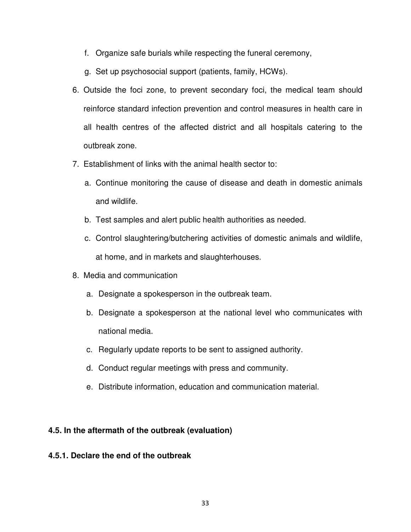- f. Organize safe burials while respecting the funeral ceremony,
- g. Set up psychosocial support (patients, family, HCWs).
- 6. Outside the foci zone, to prevent secondary foci, the medical team should reinforce standard infection prevention and control measures in health care in all health centres of the affected district and all hospitals catering to the outbreak zone.
- 7. Establishment of links with the animal health sector to:
	- a. Continue monitoring the cause of disease and death in domestic animals and wildlife.
	- b. Test samples and alert public health authorities as needed.
	- c. Control slaughtering/butchering activities of domestic animals and wildlife, at home, and in markets and slaughterhouses.
- 8. Media and communication
	- a. Designate a spokesperson in the outbreak team.
	- b. Designate a spokesperson at the national level who communicates with national media.
	- c. Regularly update reports to be sent to assigned authority.
	- d. Conduct regular meetings with press and community.
	- e. Distribute information, education and communication material.

## **4.5. In the aftermath of the outbreak (evaluation)**

#### **4.5.1. Declare the end of the outbreak**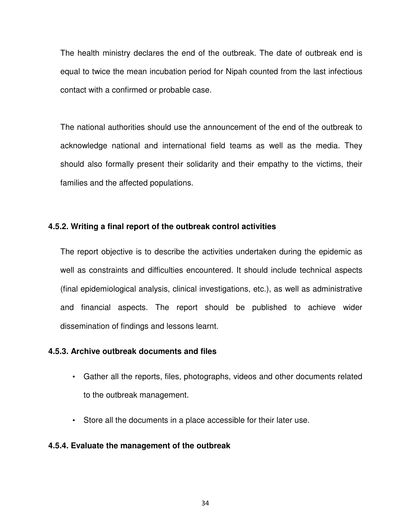The health ministry declares the end of the outbreak. The date of outbreak end is equal to twice the mean incubation period for Nipah counted from the last infectious contact with a confirmed or probable case.

The national authorities should use the announcement of the end of the outbreak to acknowledge national and international field teams as well as the media. They should also formally present their solidarity and their empathy to the victims, their families and the affected populations.

#### **4.5.2. Writing a final report of the outbreak control activities**

The report objective is to describe the activities undertaken during the epidemic as well as constraints and difficulties encountered. It should include technical aspects (final epidemiological analysis, clinical investigations, etc.), as well as administrative and financial aspects. The report should be published to achieve wider dissemination of findings and lessons learnt.

#### **4.5.3. Archive outbreak documents and files**

- Gather all the reports, files, photographs, videos and other documents related to the outbreak management.
- Store all the documents in a place accessible for their later use.

#### **4.5.4. Evaluate the management of the outbreak**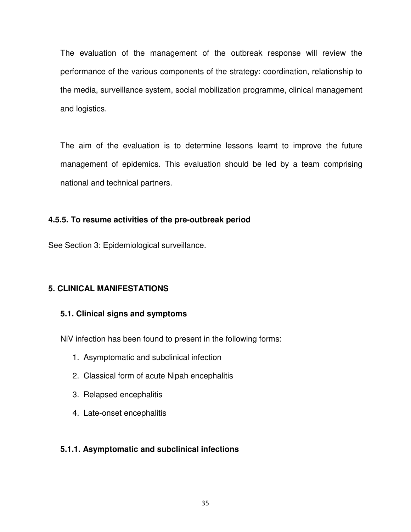The evaluation of the management of the outbreak response will review the performance of the various components of the strategy: coordination, relationship to the media, surveillance system, social mobilization programme, clinical management and logistics.

The aim of the evaluation is to determine lessons learnt to improve the future management of epidemics. This evaluation should be led by a team comprising national and technical partners.

## **4.5.5. To resume activities of the pre-outbreak period**

See Section 3: Epidemiological surveillance.

## **5. CLINICAL MANIFESTATIONS**

## **5.1. Clinical signs and symptoms**

NiV infection has been found to present in the following forms:

- 1. Asymptomatic and subclinical infection
- 2. Classical form of acute Nipah encephalitis
- 3. Relapsed encephalitis
- 4. Late-onset encephalitis

#### **5.1.1. Asymptomatic and subclinical infections**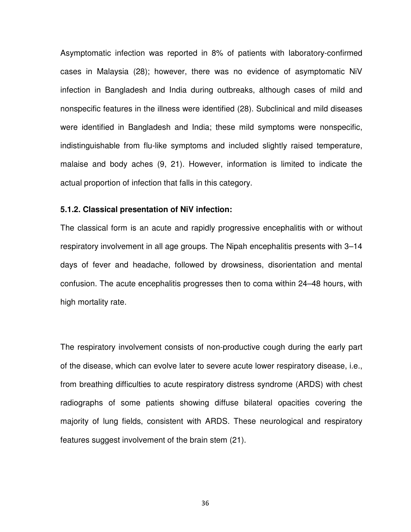Asymptomatic infection was reported in 8% of patients with laboratory-confirmed cases in Malaysia (28); however, there was no evidence of asymptomatic NiV infection in Bangladesh and India during outbreaks, although cases of mild and nonspecific features in the illness were identified (28). Subclinical and mild diseases were identified in Bangladesh and India; these mild symptoms were nonspecific, indistinguishable from flu-like symptoms and included slightly raised temperature, malaise and body aches (9, 21). However, information is limited to indicate the actual proportion of infection that falls in this category.

#### **5.1.2. Classical presentation of NiV infection:**

The classical form is an acute and rapidly progressive encephalitis with or without respiratory involvement in all age groups. The Nipah encephalitis presents with 3–14 days of fever and headache, followed by drowsiness, disorientation and mental confusion. The acute encephalitis progresses then to coma within 24–48 hours, with high mortality rate.

The respiratory involvement consists of non-productive cough during the early part of the disease, which can evolve later to severe acute lower respiratory disease, i.e., from breathing difficulties to acute respiratory distress syndrome (ARDS) with chest radiographs of some patients showing diffuse bilateral opacities covering the majority of lung fields, consistent with ARDS. These neurological and respiratory features suggest involvement of the brain stem (21).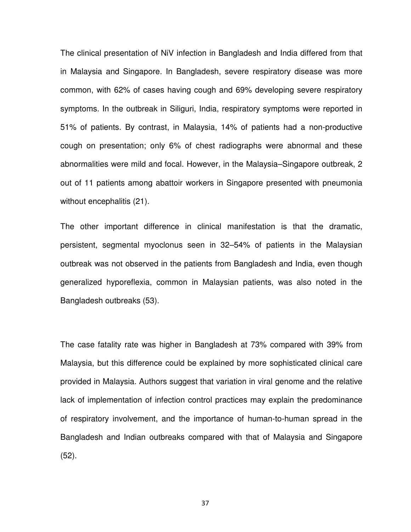The clinical presentation of NiV infection in Bangladesh and India differed from that in Malaysia and Singapore. In Bangladesh, severe respiratory disease was more common, with 62% of cases having cough and 69% developing severe respiratory symptoms. In the outbreak in Siliguri, India, respiratory symptoms were reported in 51% of patients. By contrast, in Malaysia, 14% of patients had a non-productive cough on presentation; only 6% of chest radiographs were abnormal and these abnormalities were mild and focal. However, in the Malaysia–Singapore outbreak, 2 out of 11 patients among abattoir workers in Singapore presented with pneumonia without encephalitis (21).

The other important difference in clinical manifestation is that the dramatic, persistent, segmental myoclonus seen in 32–54% of patients in the Malaysian outbreak was not observed in the patients from Bangladesh and India, even though generalized hyporeflexia, common in Malaysian patients, was also noted in the Bangladesh outbreaks (53).

The case fatality rate was higher in Bangladesh at 73% compared with 39% from Malaysia, but this difference could be explained by more sophisticated clinical care provided in Malaysia. Authors suggest that variation in viral genome and the relative lack of implementation of infection control practices may explain the predominance of respiratory involvement, and the importance of human-to-human spread in the Bangladesh and Indian outbreaks compared with that of Malaysia and Singapore (52).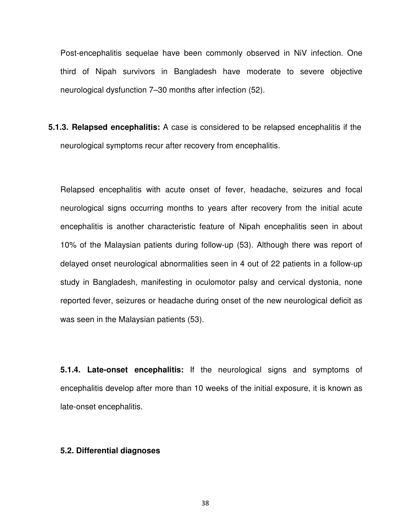Post-encephalitis sequelae have been commonly observed in NiV infection. One third of Nipah survivors in Bangladesh have moderate to severe objective neurological dysfunction 7–30 months after infection (52).

**5.1.3. Relapsed encephalitis:** A case is considered to be relapsed encephalitis if the neurological symptoms recur after recovery from encephalitis.

Relapsed encephalitis with acute onset of fever, headache, seizures and focal neurological signs occurring months to years after recovery from the initial acute encephalitis is another characteristic feature of Nipah encephalitis seen in about 10% of the Malaysian patients during follow-up (53). Although there was report of delayed onset neurological abnormalities seen in 4 out of 22 patients in a follow-up study in Bangladesh, manifesting in oculomotor palsy and cervical dystonia, none reported fever, seizures or headache during onset of the new neurological deficit as was seen in the Malaysian patients (53).

**5.1.4. Late-onset encephalitis:** If the neurological signs and symptoms of encephalitis develop after more than 10 weeks of the initial exposure, it is known as late-onset encephalitis.

#### **5.2. Differential diagnoses**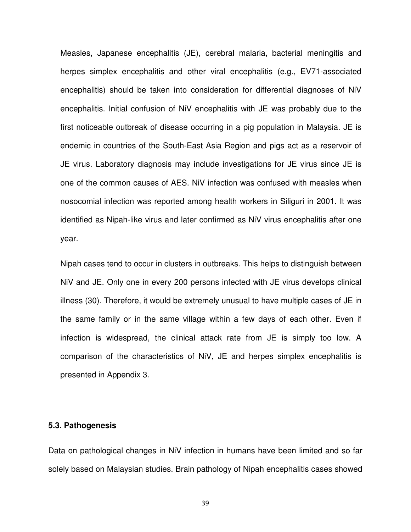Measles, Japanese encephalitis (JE), cerebral malaria, bacterial meningitis and herpes simplex encephalitis and other viral encephalitis (e.g., EV71-associated encephalitis) should be taken into consideration for differential diagnoses of NiV encephalitis. Initial confusion of NiV encephalitis with JE was probably due to the first noticeable outbreak of disease occurring in a pig population in Malaysia. JE is endemic in countries of the South-East Asia Region and pigs act as a reservoir of JE virus. Laboratory diagnosis may include investigations for JE virus since JE is one of the common causes of AES. NiV infection was confused with measles when nosocomial infection was reported among health workers in Siliguri in 2001. It was identified as Nipah-like virus and later confirmed as NiV virus encephalitis after one year.

Nipah cases tend to occur in clusters in outbreaks. This helps to distinguish between NiV and JE. Only one in every 200 persons infected with JE virus develops clinical illness (30). Therefore, it would be extremely unusual to have multiple cases of JE in the same family or in the same village within a few days of each other. Even if infection is widespread, the clinical attack rate from JE is simply too low. A comparison of the characteristics of NiV, JE and herpes simplex encephalitis is presented in Appendix 3.

#### **5.3. Pathogenesis**

Data on pathological changes in NiV infection in humans have been limited and so far solely based on Malaysian studies. Brain pathology of Nipah encephalitis cases showed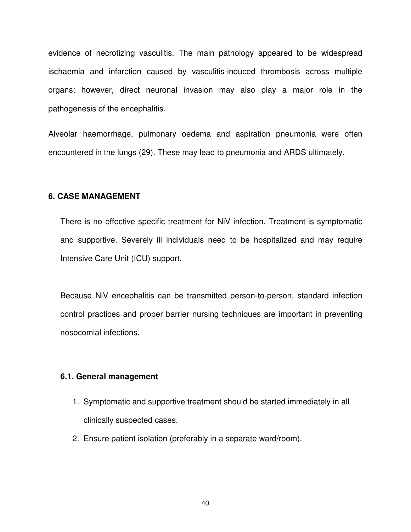evidence of necrotizing vasculitis. The main pathology appeared to be widespread ischaemia and infarction caused by vasculitis-induced thrombosis across multiple organs; however, direct neuronal invasion may also play a major role in the pathogenesis of the encephalitis.

Alveolar haemorrhage, pulmonary oedema and aspiration pneumonia were often encountered in the lungs (29). These may lead to pneumonia and ARDS ultimately.

#### **6. CASE MANAGEMENT**

There is no effective specific treatment for NiV infection. Treatment is symptomatic and supportive. Severely ill individuals need to be hospitalized and may require Intensive Care Unit (ICU) support.

Because NiV encephalitis can be transmitted person-to-person, standard infection control practices and proper barrier nursing techniques are important in preventing nosocomial infections.

#### **6.1. General management**

- 1. Symptomatic and supportive treatment should be started immediately in all clinically suspected cases.
- 2. Ensure patient isolation (preferably in a separate ward/room).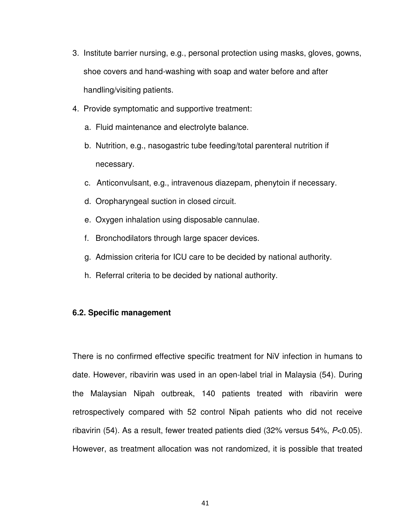- 3. Institute barrier nursing, e.g., personal protection using masks, gloves, gowns, shoe covers and hand-washing with soap and water before and after handling/visiting patients.
- 4. Provide symptomatic and supportive treatment:
	- a. Fluid maintenance and electrolyte balance.
	- b. Nutrition, e.g., nasogastric tube feeding/total parenteral nutrition if necessary.
	- c. Anticonvulsant, e.g., intravenous diazepam, phenytoin if necessary.
	- d. Oropharyngeal suction in closed circuit.
	- e. Oxygen inhalation using disposable cannulae.
	- f. Bronchodilators through large spacer devices.
	- g. Admission criteria for ICU care to be decided by national authority.
	- h. Referral criteria to be decided by national authority.

#### **6.2. Specific management**

There is no confirmed effective specific treatment for NiV infection in humans to date. However, ribavirin was used in an open-label trial in Malaysia (54). During the Malaysian Nipah outbreak, 140 patients treated with ribavirin were retrospectively compared with 52 control Nipah patients who did not receive ribavirin (54). As a result, fewer treated patients died (32% versus 54%, P<0.05). However, as treatment allocation was not randomized, it is possible that treated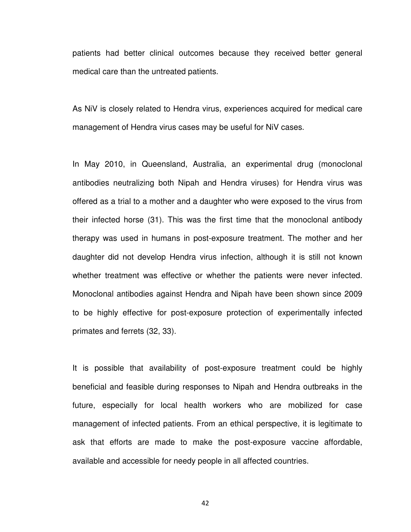patients had better clinical outcomes because they received better general medical care than the untreated patients.

As NiV is closely related to Hendra virus, experiences acquired for medical care management of Hendra virus cases may be useful for NiV cases.

In May 2010, in Queensland, Australia, an experimental drug (monoclonal antibodies neutralizing both Nipah and Hendra viruses) for Hendra virus was offered as a trial to a mother and a daughter who were exposed to the virus from their infected horse (31). This was the first time that the monoclonal antibody therapy was used in humans in post-exposure treatment. The mother and her daughter did not develop Hendra virus infection, although it is still not known whether treatment was effective or whether the patients were never infected. Monoclonal antibodies against Hendra and Nipah have been shown since 2009 to be highly effective for post-exposure protection of experimentally infected primates and ferrets (32, 33).

It is possible that availability of post-exposure treatment could be highly beneficial and feasible during responses to Nipah and Hendra outbreaks in the future, especially for local health workers who are mobilized for case management of infected patients. From an ethical perspective, it is legitimate to ask that efforts are made to make the post-exposure vaccine affordable, available and accessible for needy people in all affected countries.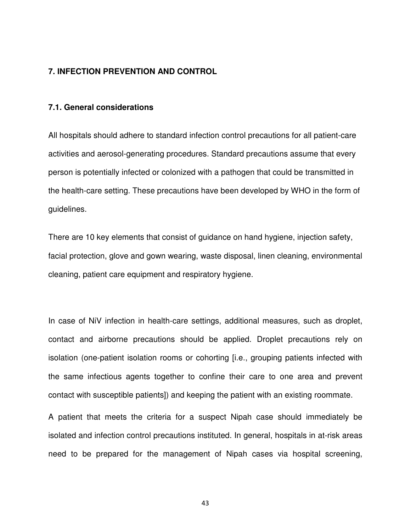#### **7. INFECTION PREVENTION AND CONTROL**

#### **7.1. General considerations**

All hospitals should adhere to standard infection control precautions for all patient-care activities and aerosol-generating procedures. Standard precautions assume that every person is potentially infected or colonized with a pathogen that could be transmitted in the health-care setting. These precautions have been developed by WHO in the form of guidelines.

There are 10 key elements that consist of guidance on hand hygiene, injection safety, facial protection, glove and gown wearing, waste disposal, linen cleaning, environmental cleaning, patient care equipment and respiratory hygiene.

In case of NiV infection in health-care settings, additional measures, such as droplet, contact and airborne precautions should be applied. Droplet precautions rely on isolation (one-patient isolation rooms or cohorting [i.e., grouping patients infected with the same infectious agents together to confine their care to one area and prevent contact with susceptible patients]) and keeping the patient with an existing roommate.

A patient that meets the criteria for a suspect Nipah case should immediately be isolated and infection control precautions instituted. In general, hospitals in at-risk areas need to be prepared for the management of Nipah cases via hospital screening,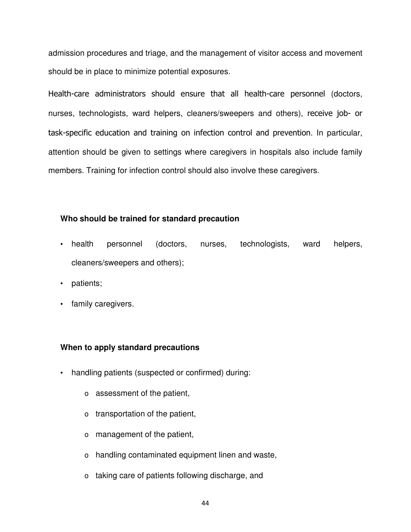admission procedures and triage, and the management of visitor access and movement should be in place to minimize potential exposures.

Health-care administrators should ensure that all health-care personnel (doctors, nurses, technologists, ward helpers, cleaners/sweepers and others), receive job- or task-specific education and training on infection control and prevention. In particular, attention should be given to settings where caregivers in hospitals also include family members. Training for infection control should also involve these caregivers.

## **Who should be trained for standard precaution**

- health personnel (doctors, nurses, technologists, ward helpers, cleaners/sweepers and others);
- patients;
- family caregivers.

## **When to apply standard precautions**

- handling patients (suspected or confirmed) during:
	- o assessment of the patient,
	- o transportation of the patient,
	- o management of the patient,
	- o handling contaminated equipment linen and waste,
	- o taking care of patients following discharge, and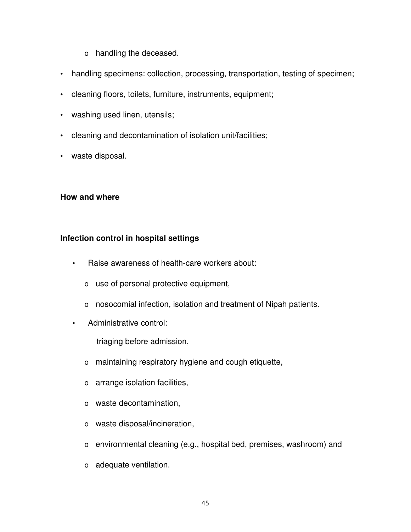- o handling the deceased.
- handling specimens: collection, processing, transportation, testing of specimen;
- cleaning floors, toilets, furniture, instruments, equipment;
- washing used linen, utensils;
- cleaning and decontamination of isolation unit/facilities;
- waste disposal.

#### **How and where**

#### **Infection control in hospital settings**

- Raise awareness of health-care workers about:
	- o use of personal protective equipment,
	- o nosocomial infection, isolation and treatment of Nipah patients.
- Administrative control:

triaging before admission,

- o maintaining respiratory hygiene and cough etiquette,
- o arrange isolation facilities,
- o waste decontamination,
- o waste disposal/incineration,
- o environmental cleaning (e.g., hospital bed, premises, washroom) and
- o adequate ventilation.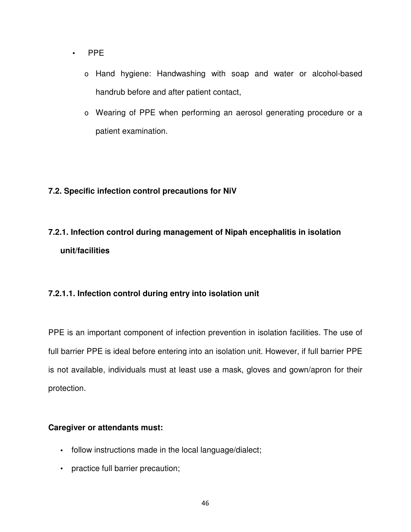- PPE
	- o Hand hygiene: Handwashing with soap and water or alcohol-based handrub before and after patient contact,
	- o Wearing of PPE when performing an aerosol generating procedure or a patient examination.

## **7.2. Specific infection control precautions for NiV**

# **7.2.1. Infection control during management of Nipah encephalitis in isolation unit/facilities**

## **7.2.1.1. Infection control during entry into isolation unit**

PPE is an important component of infection prevention in isolation facilities. The use of full barrier PPE is ideal before entering into an isolation unit. However, if full barrier PPE is not available, individuals must at least use a mask, gloves and gown/apron for their protection.

#### **Caregiver or attendants must:**

- **•** follow instructions made in the local language/dialect;
- practice full barrier precaution;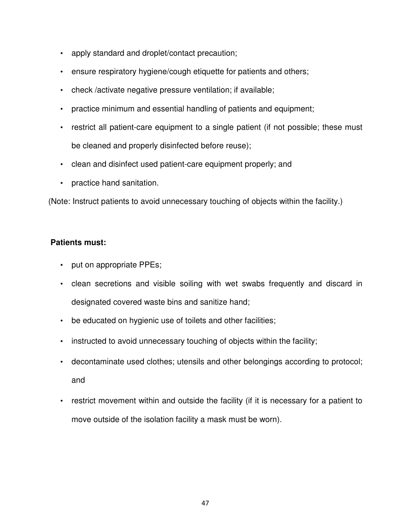- apply standard and droplet/contact precaution;
- ensure respiratory hygiene/cough etiquette for patients and others;
- check /activate negative pressure ventilation; if available;
- practice minimum and essential handling of patients and equipment;
- restrict all patient-care equipment to a single patient (if not possible; these must be cleaned and properly disinfected before reuse);
- clean and disinfect used patient-care equipment properly; and
- practice hand sanitation.

(Note: Instruct patients to avoid unnecessary touching of objects within the facility.)

## **Patients must:**

- put on appropriate PPEs;
- clean secretions and visible soiling with wet swabs frequently and discard in designated covered waste bins and sanitize hand;
- be educated on hygienic use of toilets and other facilities;
- instructed to avoid unnecessary touching of objects within the facility;
- decontaminate used clothes; utensils and other belongings according to protocol; and
- restrict movement within and outside the facility (if it is necessary for a patient to move outside of the isolation facility a mask must be worn).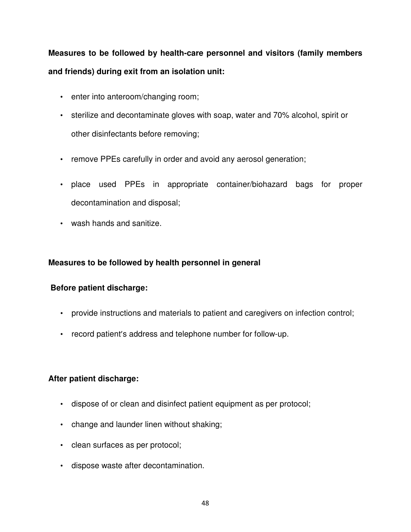# **Measures to be followed by health-care personnel and visitors (family members and friends) during exit from an isolation unit:**

- enter into anteroom/changing room;
- sterilize and decontaminate gloves with soap, water and 70% alcohol, spirit or other disinfectants before removing;
- remove PPEs carefully in order and avoid any aerosol generation;
- place used PPEs in appropriate container/biohazard bags for proper decontamination and disposal;
- wash hands and sanitize.

## **Measures to be followed by health personnel in general**

## **Before patient discharge:**

- provide instructions and materials to patient and caregivers on infection control;
- record patient's address and telephone number for follow-up.

## **After patient discharge:**

- dispose of or clean and disinfect patient equipment as per protocol;
- change and launder linen without shaking;
- clean surfaces as per protocol;
- dispose waste after decontamination.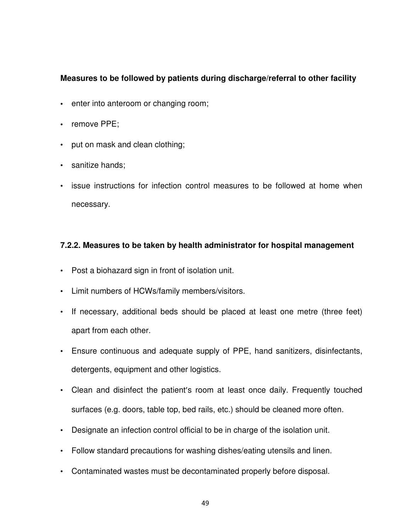## **Measures to be followed by patients during discharge/referral to other facility**

- **•** enter into anteroom or changing room;
- **•** remove PPE;
- put on mask and clean clothing;
- sanitize hands;
- issue instructions for infection control measures to be followed at home when necessary.

#### **7.2.2. Measures to be taken by health administrator for hospital management**

- Post a biohazard sign in front of isolation unit.
- Limit numbers of HCWs/family members/visitors.
- If necessary, additional beds should be placed at least one metre (three feet) apart from each other.
- Ensure continuous and adequate supply of PPE, hand sanitizers, disinfectants, detergents, equipment and other logistics.
- Clean and disinfect the patient's room at least once daily. Frequently touched surfaces (e.g. doors, table top, bed rails, etc.) should be cleaned more often.
- Designate an infection control official to be in charge of the isolation unit.
- Follow standard precautions for washing dishes/eating utensils and linen.
- Contaminated wastes must be decontaminated properly before disposal.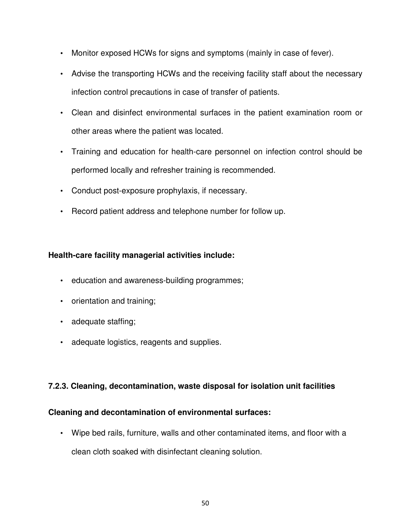- Monitor exposed HCWs for signs and symptoms (mainly in case of fever).
- Advise the transporting HCWs and the receiving facility staff about the necessary infection control precautions in case of transfer of patients.
- Clean and disinfect environmental surfaces in the patient examination room or other areas where the patient was located.
- Training and education for health-care personnel on infection control should be performed locally and refresher training is recommended.
- Conduct post-exposure prophylaxis, if necessary.
- Record patient address and telephone number for follow up.

## **Health-care facility managerial activities include:**

- education and awareness-building programmes;
- orientation and training;
- adequate staffing;
- adequate logistics, reagents and supplies.

## **7.2.3. Cleaning, decontamination, waste disposal for isolation unit facilities**

## **Cleaning and decontamination of environmental surfaces:**

• Wipe bed rails, furniture, walls and other contaminated items, and floor with a clean cloth soaked with disinfectant cleaning solution.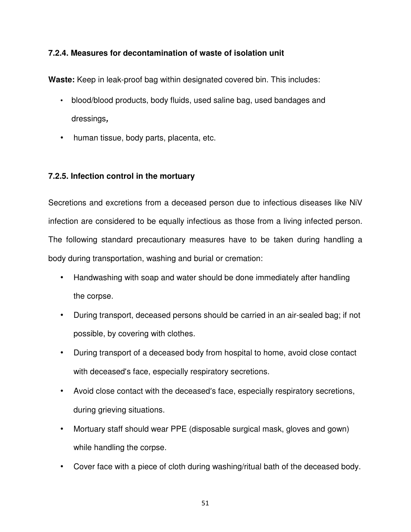## **7.2.4. Measures for decontamination of waste of isolation unit**

**Waste:** Keep in leak-proof bag within designated covered bin. This includes:

- blood/blood products, body fluids, used saline bag, used bandages and dressings**,**
- human tissue, body parts, placenta, etc.

## **7.2.5. Infection control in the mortuary**

Secretions and excretions from a deceased person due to infectious diseases like NiV infection are considered to be equally infectious as those from a living infected person. The following standard precautionary measures have to be taken during handling a body during transportation, washing and burial or cremation:

- Handwashing with soap and water should be done immediately after handling the corpse.
- During transport, deceased persons should be carried in an air-sealed bag; if not possible, by covering with clothes.
- During transport of a deceased body from hospital to home, avoid close contact with deceased's face, especially respiratory secretions.
- Avoid close contact with the deceased's face, especially respiratory secretions, during grieving situations.
- Mortuary staff should wear PPE (disposable surgical mask, gloves and gown) while handling the corpse.
- Cover face with a piece of cloth during washing/ritual bath of the deceased body.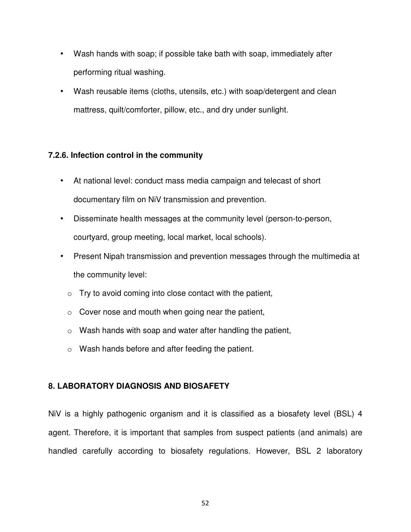- Wash hands with soap; if possible take bath with soap, immediately after performing ritual washing.
- Wash reusable items (cloths, utensils, etc.) with soap/detergent and clean mattress, quilt/comforter, pillow, etc., and dry under sunlight.

## **7.2.6. Infection control in the community**

- At national level: conduct mass media campaign and telecast of short documentary film on NiV transmission and prevention.
- Disseminate health messages at the community level (person-to-person, courtyard, group meeting, local market, local schools).
- Present Nipah transmission and prevention messages through the multimedia at the community level:
	- $\circ$  Try to avoid coming into close contact with the patient,
	- $\circ$  Cover nose and mouth when going near the patient,
	- $\circ$  Wash hands with soap and water after handling the patient,
	- o Wash hands before and after feeding the patient.

## **8. LABORATORY DIAGNOSIS AND BIOSAFETY**

NiV is a highly pathogenic organism and it is classified as a biosafety level (BSL) 4 agent. Therefore, it is important that samples from suspect patients (and animals) are handled carefully according to biosafety regulations. However, BSL 2 laboratory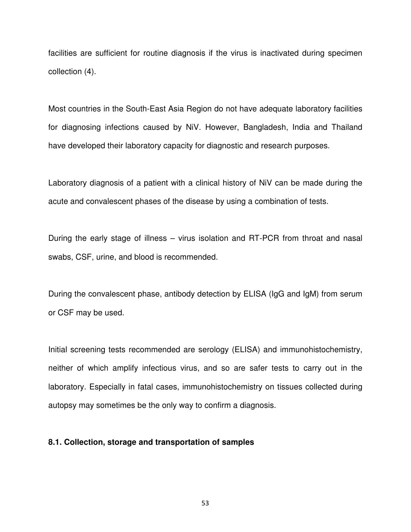facilities are sufficient for routine diagnosis if the virus is inactivated during specimen collection (4).

Most countries in the South-East Asia Region do not have adequate laboratory facilities for diagnosing infections caused by NiV. However, Bangladesh, India and Thailand have developed their laboratory capacity for diagnostic and research purposes.

Laboratory diagnosis of a patient with a clinical history of NiV can be made during the acute and convalescent phases of the disease by using a combination of tests.

During the early stage of illness – virus isolation and RT-PCR from throat and nasal swabs, CSF, urine, and blood is recommended.

During the convalescent phase, antibody detection by ELISA (IgG and IgM) from serum or CSF may be used.

Initial screening tests recommended are serology (ELISA) and immunohistochemistry, neither of which amplify infectious virus, and so are safer tests to carry out in the laboratory. Especially in fatal cases, immunohistochemistry on tissues collected during autopsy may sometimes be the only way to confirm a diagnosis.

#### **8.1. Collection, storage and transportation of samples**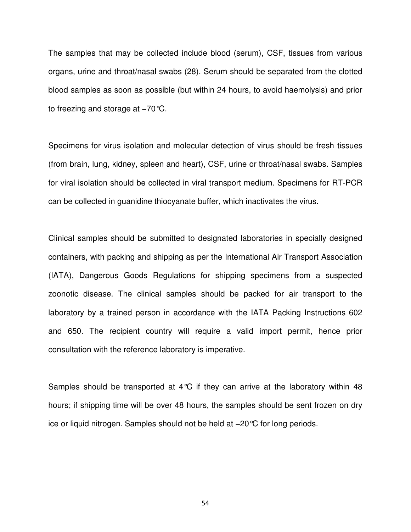The samples that may be collected include blood (serum), CSF, tissues from various organs, urine and throat/nasal swabs (28). Serum should be separated from the clotted blood samples as soon as possible (but within 24 hours, to avoid haemolysis) and prior to freezing and storage at –70 °C.

Specimens for virus isolation and molecular detection of virus should be fresh tissues (from brain, lung, kidney, spleen and heart), CSF, urine or throat/nasal swabs. Samples for viral isolation should be collected in viral transport medium. Specimens for RT-PCR can be collected in guanidine thiocyanate buffer, which inactivates the virus.

Clinical samples should be submitted to designated laboratories in specially designed containers, with packing and shipping as per the International Air Transport Association (IATA), Dangerous Goods Regulations for shipping specimens from a suspected zoonotic disease. The clinical samples should be packed for air transport to the laboratory by a trained person in accordance with the IATA Packing Instructions 602 and 650. The recipient country will require a valid import permit, hence prior consultation with the reference laboratory is imperative.

Samples should be transported at  $4^{\circ}C$  if they can arrive at the laboratory within 48 hours; if shipping time will be over 48 hours, the samples should be sent frozen on dry ice or liquid nitrogen. Samples should not be held at −20°C for long periods.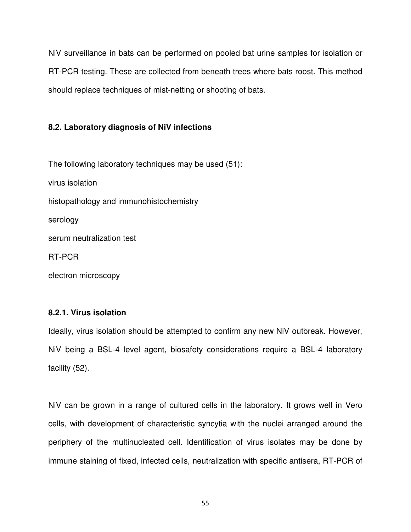NiV surveillance in bats can be performed on pooled bat urine samples for isolation or RT-PCR testing. These are collected from beneath trees where bats roost. This method should replace techniques of mist-netting or shooting of bats.

#### **8.2. Laboratory diagnosis of NiV infections**

The following laboratory techniques may be used (51): virus isolation histopathology and immunohistochemistry serology serum neutralization test RT-PCR electron microscopy

#### **8.2.1. Virus isolation**

Ideally, virus isolation should be attempted to confirm any new NiV outbreak. However, NiV being a BSL-4 level agent, biosafety considerations require a BSL-4 laboratory facility (52).

NiV can be grown in a range of cultured cells in the laboratory. It grows well in Vero cells, with development of characteristic syncytia with the nuclei arranged around the periphery of the multinucleated cell. Identification of virus isolates may be done by immune staining of fixed, infected cells, neutralization with specific antisera, RT-PCR of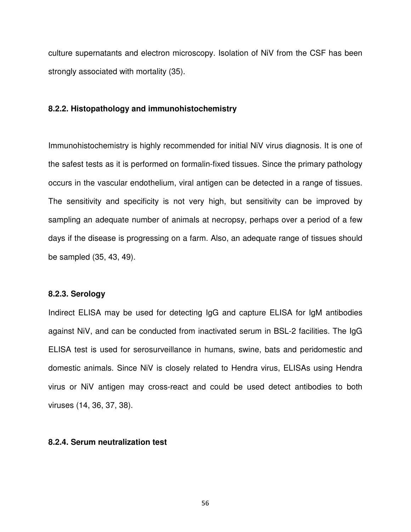culture supernatants and electron microscopy. Isolation of NiV from the CSF has been strongly associated with mortality (35).

#### **8.2.2. Histopathology and immunohistochemistry**

Immunohistochemistry is highly recommended for initial NiV virus diagnosis. It is one of the safest tests as it is performed on formalin-fixed tissues. Since the primary pathology occurs in the vascular endothelium, viral antigen can be detected in a range of tissues. The sensitivity and specificity is not very high, but sensitivity can be improved by sampling an adequate number of animals at necropsy, perhaps over a period of a few days if the disease is progressing on a farm. Also, an adequate range of tissues should be sampled (35, 43, 49).

#### **8.2.3. Serology**

Indirect ELISA may be used for detecting IgG and capture ELISA for IgM antibodies against NiV, and can be conducted from inactivated serum in BSL-2 facilities. The IgG ELISA test is used for serosurveillance in humans, swine, bats and peridomestic and domestic animals. Since NiV is closely related to Hendra virus, ELISAs using Hendra virus or NiV antigen may cross-react and could be used detect antibodies to both viruses (14, 36, 37, 38).

#### **8.2.4. Serum neutralization test**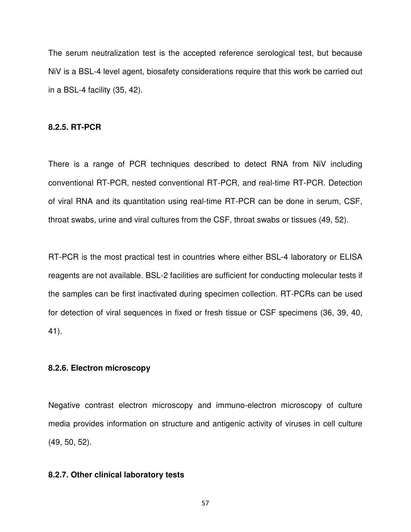The serum neutralization test is the accepted reference serological test, but because NiV is a BSL-4 level agent, biosafety considerations require that this work be carried out in a BSL-4 facility (35, 42).

#### **8.2.5. RT-PCR**

There is a range of PCR techniques described to detect RNA from NiV including conventional RT-PCR, nested conventional RT-PCR, and real-time RT-PCR. Detection of viral RNA and its quantitation using real-time RT-PCR can be done in serum, CSF, throat swabs, urine and viral cultures from the CSF, throat swabs or tissues (49, 52).

RT-PCR is the most practical test in countries where either BSL-4 laboratory or ELISA reagents are not available. BSL-2 facilities are sufficient for conducting molecular tests if the samples can be first inactivated during specimen collection. RT-PCRs can be used for detection of viral sequences in fixed or fresh tissue or CSF specimens (36, 39, 40, 41).

#### **8.2.6. Electron microscopy**

Negative contrast electron microscopy and immuno-electron microscopy of culture media provides information on structure and antigenic activity of viruses in cell culture (49, 50, 52).

#### **8.2.7. Other clinical laboratory tests**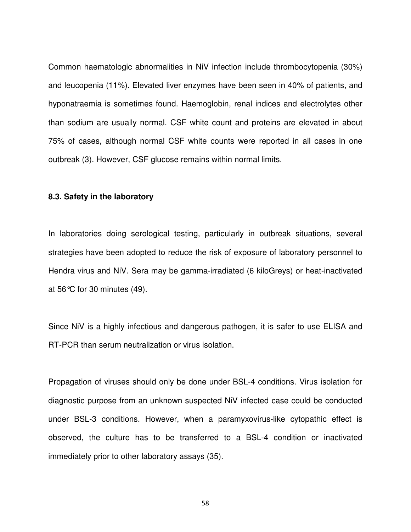Common haematologic abnormalities in NiV infection include thrombocytopenia (30%) and leucopenia (11%). Elevated liver enzymes have been seen in 40% of patients, and hyponatraemia is sometimes found. Haemoglobin, renal indices and electrolytes other than sodium are usually normal. CSF white count and proteins are elevated in about 75% of cases, although normal CSF white counts were reported in all cases in one outbreak (3). However, CSF glucose remains within normal limits.

#### **8.3. Safety in the laboratory**

In laboratories doing serological testing, particularly in outbreak situations, several strategies have been adopted to reduce the risk of exposure of laboratory personnel to Hendra virus and NiV. Sera may be gamma-irradiated (6 kiloGreys) or heat-inactivated at 56°C for 30 minutes (49).

Since NiV is a highly infectious and dangerous pathogen, it is safer to use ELISA and RT-PCR than serum neutralization or virus isolation.

Propagation of viruses should only be done under BSL-4 conditions. Virus isolation for diagnostic purpose from an unknown suspected NiV infected case could be conducted under BSL-3 conditions. However, when a paramyxovirus-like cytopathic effect is observed, the culture has to be transferred to a BSL-4 condition or inactivated immediately prior to other laboratory assays (35).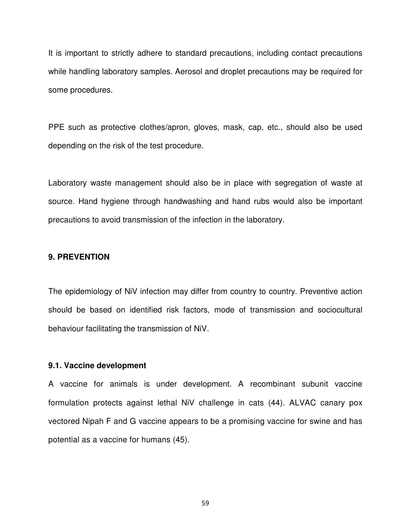It is important to strictly adhere to standard precautions, including contact precautions while handling laboratory samples. Aerosol and droplet precautions may be required for some procedures.

PPE such as protective clothes/apron, gloves, mask, cap, etc., should also be used depending on the risk of the test procedure.

Laboratory waste management should also be in place with segregation of waste at source. Hand hygiene through handwashing and hand rubs would also be important precautions to avoid transmission of the infection in the laboratory.

#### **9. PREVENTION**

The epidemiology of NiV infection may differ from country to country. Preventive action should be based on identified risk factors, mode of transmission and sociocultural behaviour facilitating the transmission of NiV.

#### **9.1. Vaccine development**

A vaccine for animals is under development. A recombinant subunit vaccine formulation protects against lethal NiV challenge in cats (44). ALVAC canary pox vectored Nipah F and G vaccine appears to be a promising vaccine for swine and has potential as a vaccine for humans (45).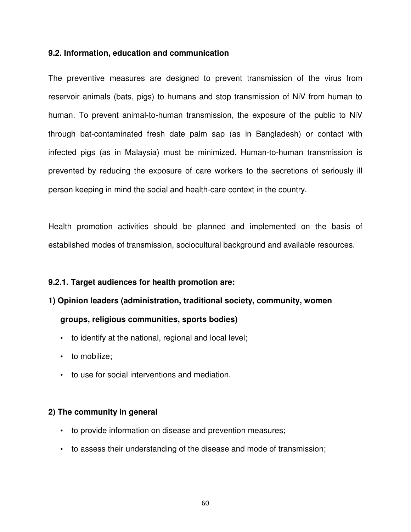#### **9.2. Information, education and communication**

The preventive measures are designed to prevent transmission of the virus from reservoir animals (bats, pigs) to humans and stop transmission of NiV from human to human. To prevent animal-to-human transmission, the exposure of the public to NiV through bat-contaminated fresh date palm sap (as in Bangladesh) or contact with infected pigs (as in Malaysia) must be minimized. Human-to-human transmission is prevented by reducing the exposure of care workers to the secretions of seriously ill person keeping in mind the social and health-care context in the country.

Health promotion activities should be planned and implemented on the basis of established modes of transmission, sociocultural background and available resources.

#### **9.2.1. Target audiences for health promotion are:**

# **1) Opinion leaders (administration, traditional society, community, women**

## **groups, religious communities, sports bodies)**

- to identify at the national, regional and local level;
- to mobilize:
- to use for social interventions and mediation.

#### **2) The community in general**

- to provide information on disease and prevention measures;
- to assess their understanding of the disease and mode of transmission;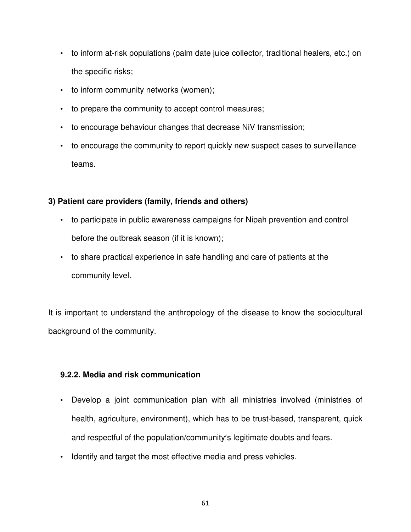- to inform at-risk populations (palm date juice collector, traditional healers, etc.) on the specific risks;
- to inform community networks (women);
- to prepare the community to accept control measures;
- to encourage behaviour changes that decrease NiV transmission;
- to encourage the community to report quickly new suspect cases to surveillance teams.

## **3) Patient care providers (family, friends and others)**

- to participate in public awareness campaigns for Nipah prevention and control before the outbreak season (if it is known);
- to share practical experience in safe handling and care of patients at the community level.

It is important to understand the anthropology of the disease to know the sociocultural background of the community.

## **9.2.2. Media and risk communication**

- Develop a joint communication plan with all ministries involved (ministries of health, agriculture, environment), which has to be trust-based, transparent, quick and respectful of the population/community's legitimate doubts and fears.
- Identify and target the most effective media and press vehicles.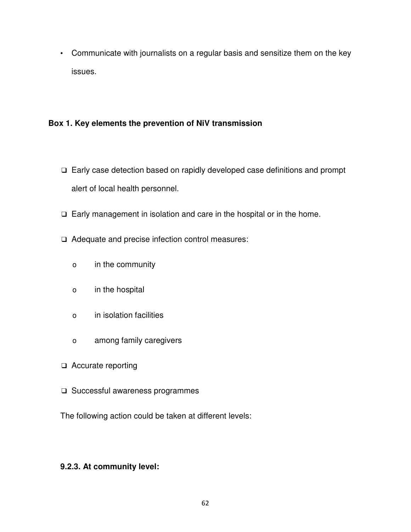• Communicate with journalists on a regular basis and sensitize them on the key issues.

## **Box 1. Key elements the prevention of NiV transmission**

- ❑ Early case detection based on rapidly developed case definitions and prompt alert of local health personnel.
- ❑ Early management in isolation and care in the hospital or in the home.
- ❑ Adequate and precise infection control measures:
	- o in the community
	- o in the hospital
	- o in isolation facilities
	- o among family caregivers
- ❑ Accurate reporting
- ❑ Successful awareness programmes

The following action could be taken at different levels:

## **9.2.3. At community level:**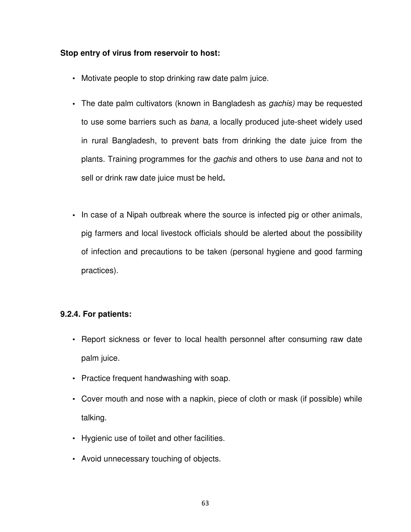#### **Stop entry of virus from reservoir to host:**

- Motivate people to stop drinking raw date palm juice.
- **•** The date palm cultivators (known in Bangladesh as gachis) may be requested to use some barriers such as bana, a locally produced jute-sheet widely used in rural Bangladesh, to prevent bats from drinking the date juice from the plants. Training programmes for the gachis and others to use bana and not to sell or drink raw date juice must be held**.**
- **•** In case of a Nipah outbreak where the source is infected pig or other animals, pig farmers and local livestock officials should be alerted about the possibility of infection and precautions to be taken (personal hygiene and good farming practices).

## **9.2.4. For patients:**

- Report sickness or fever to local health personnel after consuming raw date palm juice.
- Practice frequent handwashing with soap.
- Cover mouth and nose with a napkin, piece of cloth or mask (if possible) while talking.
- Hygienic use of toilet and other facilities.
- Avoid unnecessary touching of objects.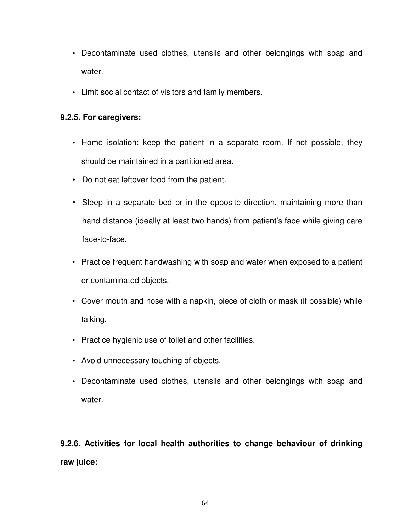- Decontaminate used clothes, utensils and other belongings with soap and water.
- Limit social contact of visitors and family members.

#### **9.2.5. For caregivers:**

- Home isolation: keep the patient in a separate room. If not possible, they should be maintained in a partitioned area.
- Do not eat leftover food from the patient.
- Sleep in a separate bed or in the opposite direction, maintaining more than hand distance (ideally at least two hands) from patient's face while giving care face-to-face.
- Practice frequent handwashing with soap and water when exposed to a patient or contaminated objects.
- Cover mouth and nose with a napkin, piece of cloth or mask (if possible) while talking.
- Practice hygienic use of toilet and other facilities.
- Avoid unnecessary touching of objects.
- Decontaminate used clothes, utensils and other belongings with soap and water.

**9.2.6. Activities for local health authorities to change behaviour of drinking raw juice:**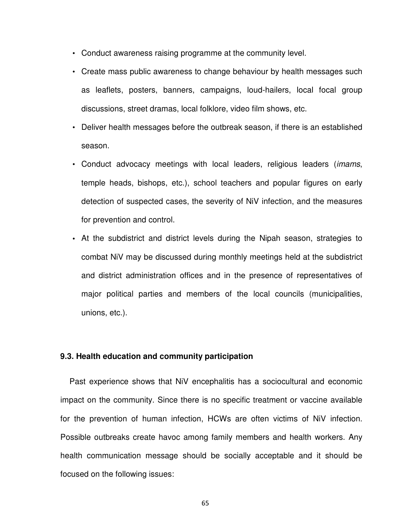- Conduct awareness raising programme at the community level.
- Create mass public awareness to change behaviour by health messages such as leaflets, posters, banners, campaigns, loud-hailers, local focal group discussions, street dramas, local folklore, video film shows, etc.
- Deliver health messages before the outbreak season, if there is an established season.
- Conduct advocacy meetings with local leaders, religious leaders (imams, temple heads, bishops, etc.), school teachers and popular figures on early detection of suspected cases, the severity of NiV infection, and the measures for prevention and control.
- **•** At the subdistrict and district levels during the Nipah season, strategies to combat NiV may be discussed during monthly meetings held at the subdistrict and district administration offices and in the presence of representatives of major political parties and members of the local councils (municipalities, unions, etc.).

#### **9.3. Health education and community participation**

Past experience shows that NiV encephalitis has a sociocultural and economic impact on the community. Since there is no specific treatment or vaccine available for the prevention of human infection, HCWs are often victims of NiV infection. Possible outbreaks create havoc among family members and health workers. Any health communication message should be socially acceptable and it should be focused on the following issues: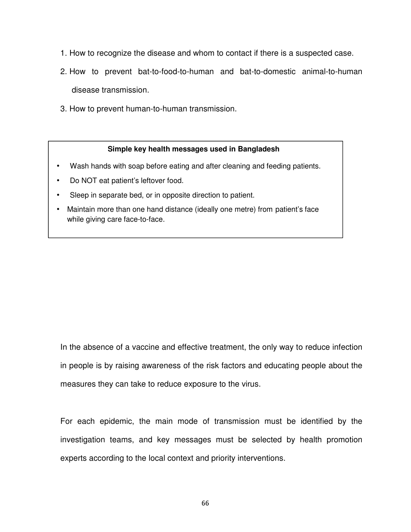- 1. How to recognize the disease and whom to contact if there is a suspected case.
- 2. How to prevent bat-to-food-to-human and bat-to-domestic animal-to-human disease transmission.
- 3. How to prevent human-to-human transmission.

#### **Simple key health messages used in Bangladesh**

- Wash hands with soap before eating and after cleaning and feeding patients.
- Do NOT eat patient's leftover food.
- Sleep in separate bed, or in opposite direction to patient.
- Maintain more than one hand distance (ideally one metre) from patient's face while giving care face-to-face.

In the absence of a vaccine and effective treatment, the only way to reduce infection in people is by raising awareness of the risk factors and educating people about the measures they can take to reduce exposure to the virus.

For each epidemic, the main mode of transmission must be identified by the investigation teams, and key messages must be selected by health promotion experts according to the local context and priority interventions.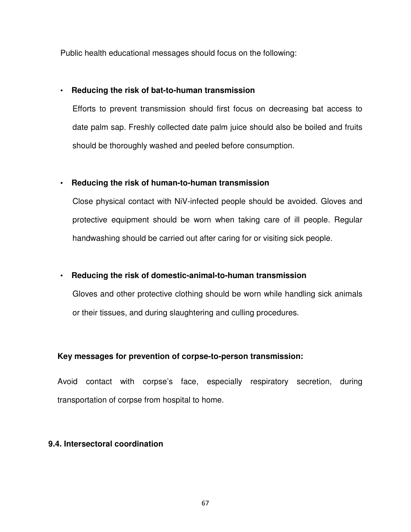Public health educational messages should focus on the following:

## • **Reducing the risk of bat-to-human transmission**

Efforts to prevent transmission should first focus on decreasing bat access to date palm sap. Freshly collected date palm juice should also be boiled and fruits should be thoroughly washed and peeled before consumption.

# • **Reducing the risk of human-to-human transmission**

Close physical contact with NiV-infected people should be avoided. Gloves and protective equipment should be worn when taking care of ill people. Regular handwashing should be carried out after caring for or visiting sick people.

# • **Reducing the risk of domestic-animal-to-human transmission**

Gloves and other protective clothing should be worn while handling sick animals or their tissues, and during slaughtering and culling procedures.

# **Key messages for prevention of corpse-to-person transmission:**

Avoid contact with corpse's face, especially respiratory secretion, during transportation of corpse from hospital to home.

# **9.4. Intersectoral coordination**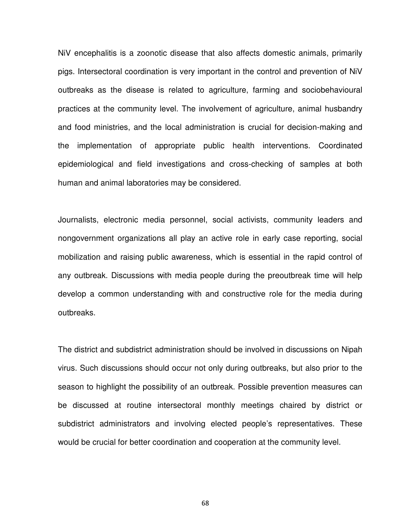NiV encephalitis is a zoonotic disease that also affects domestic animals, primarily pigs. Intersectoral coordination is very important in the control and prevention of NiV outbreaks as the disease is related to agriculture, farming and sociobehavioural practices at the community level. The involvement of agriculture, animal husbandry and food ministries, and the local administration is crucial for decision-making and the implementation of appropriate public health interventions. Coordinated epidemiological and field investigations and cross-checking of samples at both human and animal laboratories may be considered.

Journalists, electronic media personnel, social activists, community leaders and nongovernment organizations all play an active role in early case reporting, social mobilization and raising public awareness, which is essential in the rapid control of any outbreak. Discussions with media people during the preoutbreak time will help develop a common understanding with and constructive role for the media during outbreaks.

The district and subdistrict administration should be involved in discussions on Nipah virus. Such discussions should occur not only during outbreaks, but also prior to the season to highlight the possibility of an outbreak. Possible prevention measures can be discussed at routine intersectoral monthly meetings chaired by district or subdistrict administrators and involving elected people's representatives. These would be crucial for better coordination and cooperation at the community level.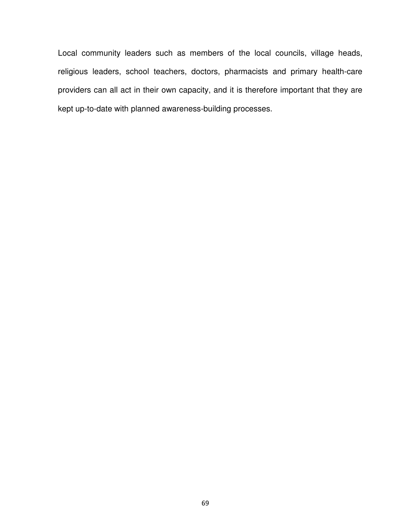Local community leaders such as members of the local councils, village heads, religious leaders, school teachers, doctors, pharmacists and primary health-care providers can all act in their own capacity, and it is therefore important that they are kept up-to-date with planned awareness-building processes.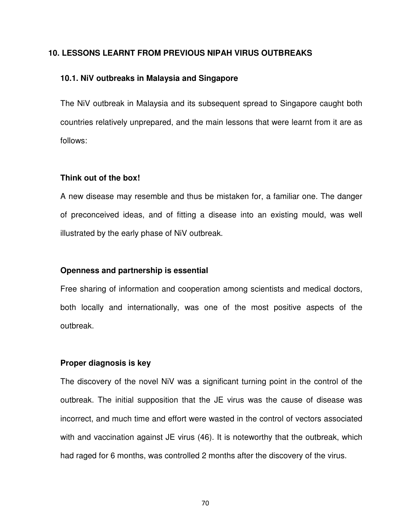#### **10. LESSONS LEARNT FROM PREVIOUS NIPAH VIRUS OUTBREAKS**

#### **10.1. NiV outbreaks in Malaysia and Singapore**

The NiV outbreak in Malaysia and its subsequent spread to Singapore caught both countries relatively unprepared, and the main lessons that were learnt from it are as follows:

#### **Think out of the box!**

A new disease may resemble and thus be mistaken for, a familiar one. The danger of preconceived ideas, and of fitting a disease into an existing mould, was well illustrated by the early phase of NiV outbreak.

#### **Openness and partnership is essential**

Free sharing of information and cooperation among scientists and medical doctors, both locally and internationally, was one of the most positive aspects of the outbreak.

#### **Proper diagnosis is key**

The discovery of the novel NiV was a significant turning point in the control of the outbreak. The initial supposition that the JE virus was the cause of disease was incorrect, and much time and effort were wasted in the control of vectors associated with and vaccination against JE virus (46). It is noteworthy that the outbreak, which had raged for 6 months, was controlled 2 months after the discovery of the virus.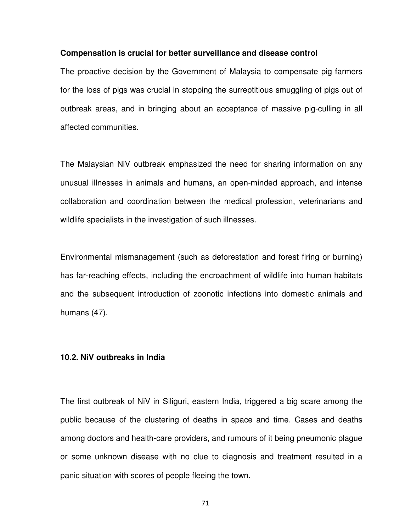#### **Compensation is crucial for better surveillance and disease control**

The proactive decision by the Government of Malaysia to compensate pig farmers for the loss of pigs was crucial in stopping the surreptitious smuggling of pigs out of outbreak areas, and in bringing about an acceptance of massive pig-culling in all affected communities.

The Malaysian NiV outbreak emphasized the need for sharing information on any unusual illnesses in animals and humans, an open-minded approach, and intense collaboration and coordination between the medical profession, veterinarians and wildlife specialists in the investigation of such illnesses.

Environmental mismanagement (such as deforestation and forest firing or burning) has far-reaching effects, including the encroachment of wildlife into human habitats and the subsequent introduction of zoonotic infections into domestic animals and humans (47).

#### **10.2. NiV outbreaks in India**

The first outbreak of NiV in Siliguri, eastern India, triggered a big scare among the public because of the clustering of deaths in space and time. Cases and deaths among doctors and health-care providers, and rumours of it being pneumonic plague or some unknown disease with no clue to diagnosis and treatment resulted in a panic situation with scores of people fleeing the town.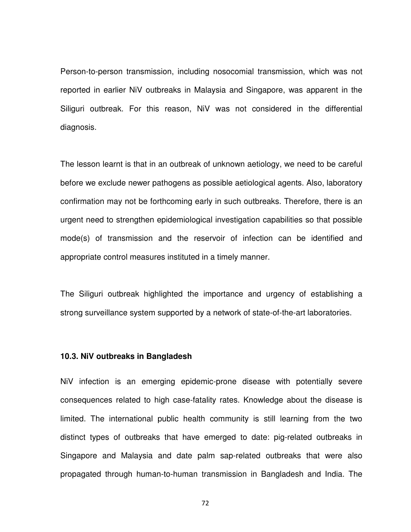Person-to-person transmission, including nosocomial transmission, which was not reported in earlier NiV outbreaks in Malaysia and Singapore, was apparent in the Siliguri outbreak. For this reason, NiV was not considered in the differential diagnosis.

The lesson learnt is that in an outbreak of unknown aetiology, we need to be careful before we exclude newer pathogens as possible aetiological agents. Also, laboratory confirmation may not be forthcoming early in such outbreaks. Therefore, there is an urgent need to strengthen epidemiological investigation capabilities so that possible mode(s) of transmission and the reservoir of infection can be identified and appropriate control measures instituted in a timely manner.

The Siliguri outbreak highlighted the importance and urgency of establishing a strong surveillance system supported by a network of state-of-the-art laboratories.

#### **10.3. NiV outbreaks in Bangladesh**

NiV infection is an emerging epidemic-prone disease with potentially severe consequences related to high case-fatality rates. Knowledge about the disease is limited. The international public health community is still learning from the two distinct types of outbreaks that have emerged to date: pig-related outbreaks in Singapore and Malaysia and date palm sap-related outbreaks that were also propagated through human-to-human transmission in Bangladesh and India. The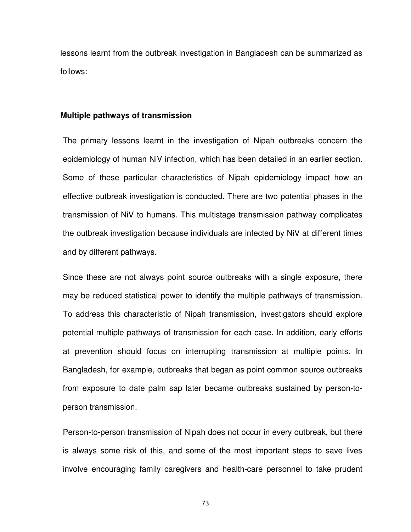lessons learnt from the outbreak investigation in Bangladesh can be summarized as follows:

#### **Multiple pathways of transmission**

The primary lessons learnt in the investigation of Nipah outbreaks concern the epidemiology of human NiV infection, which has been detailed in an earlier section. Some of these particular characteristics of Nipah epidemiology impact how an effective outbreak investigation is conducted. There are two potential phases in the transmission of NiV to humans. This multistage transmission pathway complicates the outbreak investigation because individuals are infected by NiV at different times and by different pathways.

Since these are not always point source outbreaks with a single exposure, there may be reduced statistical power to identify the multiple pathways of transmission. To address this characteristic of Nipah transmission, investigators should explore potential multiple pathways of transmission for each case. In addition, early efforts at prevention should focus on interrupting transmission at multiple points. In Bangladesh, for example, outbreaks that began as point common source outbreaks from exposure to date palm sap later became outbreaks sustained by person-toperson transmission.

Person-to-person transmission of Nipah does not occur in every outbreak, but there is always some risk of this, and some of the most important steps to save lives involve encouraging family caregivers and health-care personnel to take prudent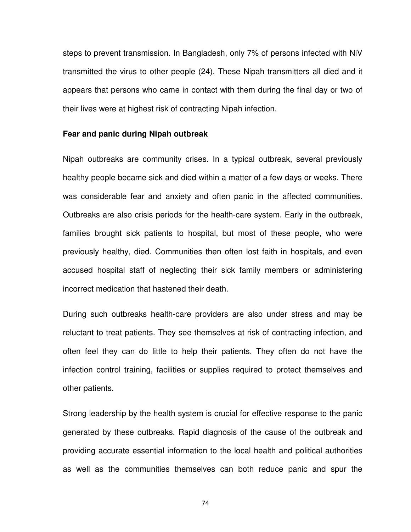steps to prevent transmission. In Bangladesh, only 7% of persons infected with NiV transmitted the virus to other people (24). These Nipah transmitters all died and it appears that persons who came in contact with them during the final day or two of their lives were at highest risk of contracting Nipah infection.

#### **Fear and panic during Nipah outbreak**

Nipah outbreaks are community crises. In a typical outbreak, several previously healthy people became sick and died within a matter of a few days or weeks. There was considerable fear and anxiety and often panic in the affected communities. Outbreaks are also crisis periods for the health-care system. Early in the outbreak, families brought sick patients to hospital, but most of these people, who were previously healthy, died. Communities then often lost faith in hospitals, and even accused hospital staff of neglecting their sick family members or administering incorrect medication that hastened their death.

During such outbreaks health-care providers are also under stress and may be reluctant to treat patients. They see themselves at risk of contracting infection, and often feel they can do little to help their patients. They often do not have the infection control training, facilities or supplies required to protect themselves and other patients.

Strong leadership by the health system is crucial for effective response to the panic generated by these outbreaks. Rapid diagnosis of the cause of the outbreak and providing accurate essential information to the local health and political authorities as well as the communities themselves can both reduce panic and spur the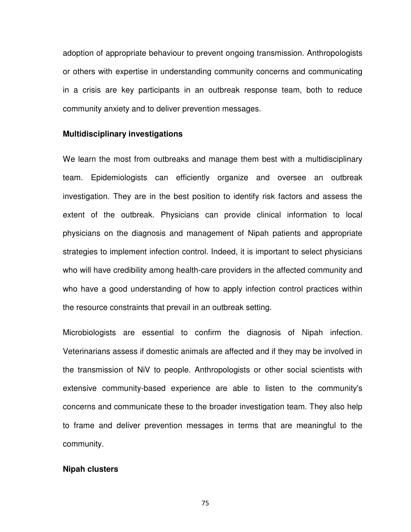adoption of appropriate behaviour to prevent ongoing transmission. Anthropologists or others with expertise in understanding community concerns and communicating in a crisis are key participants in an outbreak response team, both to reduce community anxiety and to deliver prevention messages.

#### **Multidisciplinary investigations**

We learn the most from outbreaks and manage them best with a multidisciplinary team. Epidemiologists can efficiently organize and oversee an outbreak investigation. They are in the best position to identify risk factors and assess the extent of the outbreak. Physicians can provide clinical information to local physicians on the diagnosis and management of Nipah patients and appropriate strategies to implement infection control. Indeed, it is important to select physicians who will have credibility among health-care providers in the affected community and who have a good understanding of how to apply infection control practices within the resource constraints that prevail in an outbreak setting.

Microbiologists are essential to confirm the diagnosis of Nipah infection. Veterinarians assess if domestic animals are affected and if they may be involved in the transmission of NiV to people. Anthropologists or other social scientists with extensive community-based experience are able to listen to the community's concerns and communicate these to the broader investigation team. They also help to frame and deliver prevention messages in terms that are meaningful to the community.

#### **Nipah clusters**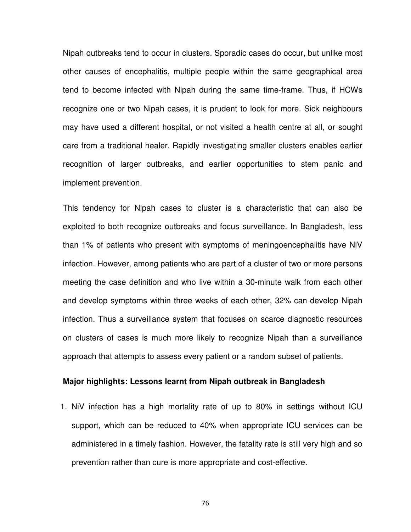Nipah outbreaks tend to occur in clusters. Sporadic cases do occur, but unlike most other causes of encephalitis, multiple people within the same geographical area tend to become infected with Nipah during the same time-frame. Thus, if HCWs recognize one or two Nipah cases, it is prudent to look for more. Sick neighbours may have used a different hospital, or not visited a health centre at all, or sought care from a traditional healer. Rapidly investigating smaller clusters enables earlier recognition of larger outbreaks, and earlier opportunities to stem panic and implement prevention.

This tendency for Nipah cases to cluster is a characteristic that can also be exploited to both recognize outbreaks and focus surveillance. In Bangladesh, less than 1% of patients who present with symptoms of meningoencephalitis have NiV infection. However, among patients who are part of a cluster of two or more persons meeting the case definition and who live within a 30-minute walk from each other and develop symptoms within three weeks of each other, 32% can develop Nipah infection. Thus a surveillance system that focuses on scarce diagnostic resources on clusters of cases is much more likely to recognize Nipah than a surveillance approach that attempts to assess every patient or a random subset of patients.

#### **Major highlights: Lessons learnt from Nipah outbreak in Bangladesh**

1. NiV infection has a high mortality rate of up to 80% in settings without ICU support, which can be reduced to 40% when appropriate ICU services can be administered in a timely fashion. However, the fatality rate is still very high and so prevention rather than cure is more appropriate and cost-effective.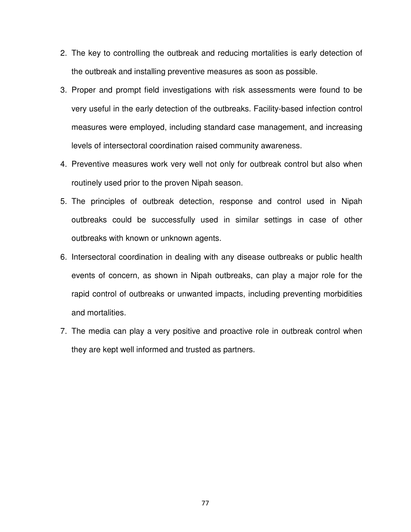- 2. The key to controlling the outbreak and reducing mortalities is early detection of the outbreak and installing preventive measures as soon as possible.
- 3. Proper and prompt field investigations with risk assessments were found to be very useful in the early detection of the outbreaks. Facility-based infection control measures were employed, including standard case management, and increasing levels of intersectoral coordination raised community awareness.
- 4. Preventive measures work very well not only for outbreak control but also when routinely used prior to the proven Nipah season.
- 5. The principles of outbreak detection, response and control used in Nipah outbreaks could be successfully used in similar settings in case of other outbreaks with known or unknown agents.
- 6. Intersectoral coordination in dealing with any disease outbreaks or public health events of concern, as shown in Nipah outbreaks, can play a major role for the rapid control of outbreaks or unwanted impacts, including preventing morbidities and mortalities.
- 7. The media can play a very positive and proactive role in outbreak control when they are kept well informed and trusted as partners.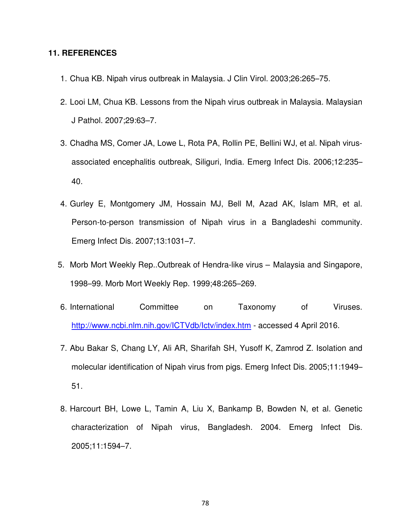#### **11. REFERENCES**

- 1. Chua KB. Nipah virus outbreak in Malaysia. J Clin Virol. 2003;26:265–75.
- 2. Looi LM, Chua KB. Lessons from the Nipah virus outbreak in Malaysia. Malaysian J Pathol. 2007;29:63–7.
- 3. Chadha MS, Comer JA, Lowe L, Rota PA, Rollin PE, Bellini WJ, et al. Nipah virusassociated encephalitis outbreak, Siliguri, India. Emerg Infect Dis. 2006;12:235– 40.
- 4. Gurley E, Montgomery JM, Hossain MJ, Bell M, Azad AK, Islam MR, et al. Person-to-person transmission of Nipah virus in a Bangladeshi community. Emerg Infect Dis. 2007;13:1031–7.
- 5. Morb Mort Weekly Rep..Outbreak of Hendra-like virus Malaysia and Singapore, 1998–99. Morb Mort Weekly Rep. 1999;48:265–269.
- 6. International Committee on Taxonomy of Viruses. http://www.ncbi.nlm.nih.gov/ICTVdb/Ictv/index.htm - accessed 4 April 2016.
- 7. Abu Bakar S, Chang LY, Ali AR, Sharifah SH, Yusoff K, Zamrod Z. Isolation and molecular identification of Nipah virus from pigs. Emerg Infect Dis. 2005;11:1949– 51.
- 8. Harcourt BH, Lowe L, Tamin A, Liu X, Bankamp B, Bowden N, et al. Genetic characterization of Nipah virus, Bangladesh. 2004. Emerg Infect Dis. 2005;11:1594–7.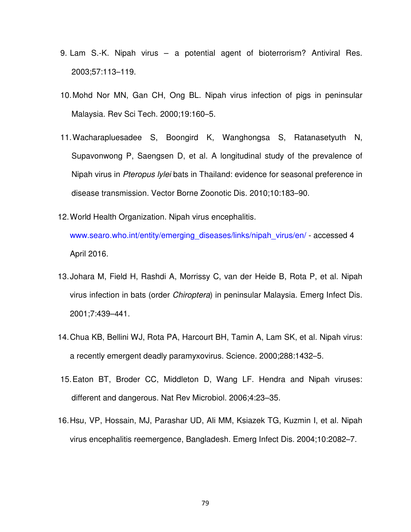- 9. Lam S.-K. Nipah virus a potential agent of bioterrorism? Antiviral Res. 2003;57:113–119.
- 10. Mohd Nor MN, Gan CH, Ong BL. Nipah virus infection of pigs in peninsular Malaysia. Rev Sci Tech. 2000;19:160–5.
- 11. Wacharapluesadee S, Boongird K, Wanghongsa S, Ratanasetyuth N, Supavonwong P, Saengsen D, et al. A longitudinal study of the prevalence of Nipah virus in Pteropus lylei bats in Thailand: evidence for seasonal preference in disease transmission. Vector Borne Zoonotic Dis. 2010;10:183–90.
- 12. World Health Organization. Nipah virus encephalitis. www.searo.who.int/entity/emerging\_diseases/links/nipah\_virus/en/ - accessed 4 April 2016.
- 13. Johara M, Field H, Rashdi A, Morrissy C, van der Heide B, Rota P, et al. Nipah virus infection in bats (order Chiroptera) in peninsular Malaysia. Emerg Infect Dis. 2001;7:439–441.
- 14. Chua KB, Bellini WJ, Rota PA, Harcourt BH, Tamin A, Lam SK, et al. Nipah virus: a recently emergent deadly paramyxovirus. Science. 2000;288:1432–5.
- 15. Eaton BT, Broder CC, Middleton D, Wang LF. Hendra and Nipah viruses: different and dangerous. Nat Rev Microbiol. 2006;4:23–35.
- 16. Hsu, VP, Hossain, MJ, Parashar UD, Ali MM, Ksiazek TG, Kuzmin I, et al. Nipah virus encephalitis reemergence, Bangladesh. Emerg Infect Dis. 2004;10:2082–7.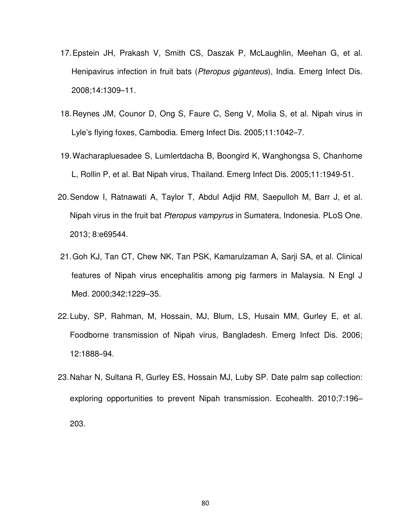- 17. Epstein JH, Prakash V, Smith CS, Daszak P, McLaughlin, Meehan G, et al. Henipavirus infection in fruit bats (Pteropus giganteus), India. Emerg Infect Dis. 2008;14:1309–11.
- 18. Reynes JM, Counor D, Ong S, Faure C, Seng V, Molia S, et al. Nipah virus in Lyle's flying foxes, Cambodia. Emerg Infect Dis. 2005;11:1042–7.
- 19. Wacharapluesadee S, Lumlertdacha B, Boongird K, Wanghongsa S, Chanhome L, Rollin P, et al. Bat Nipah virus, Thailand. Emerg Infect Dis. 2005;11:1949-51.
- 20. Sendow I, Ratnawati A, Taylor T, Abdul Adjid RM, Saepulloh M, Barr J, et al. Nipah virus in the fruit bat Pteropus vampyrus in Sumatera, Indonesia. PLoS One. 2013; 8:e69544.
- 21. Goh KJ, Tan CT, Chew NK, Tan PSK, Kamarulzaman A, Sarji SA, et al. Clinical features of Nipah virus encephalitis among pig farmers in Malaysia. N Engl J Med. 2000;342:1229–35.
- 22. Luby, SP, Rahman, M, Hossain, MJ, Blum, LS, Husain MM, Gurley E, et al. Foodborne transmission of Nipah virus, Bangladesh. Emerg Infect Dis. 2006; 12:1888–94.
- 23. Nahar N, Sultana R, Gurley ES, Hossain MJ, Luby SP. Date palm sap collection: exploring opportunities to prevent Nipah transmission. Ecohealth. 2010;7:196– 203.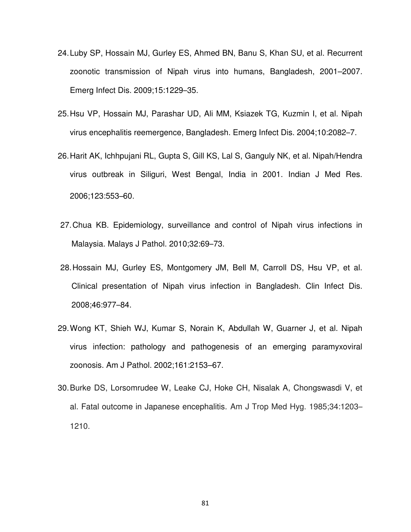- 24. Luby SP, Hossain MJ, Gurley ES, Ahmed BN, Banu S, Khan SU, et al. Recurrent zoonotic transmission of Nipah virus into humans, Bangladesh, 2001–2007. Emerg Infect Dis. 2009;15:1229–35.
- 25. Hsu VP, Hossain MJ, Parashar UD, Ali MM, Ksiazek TG, Kuzmin I, et al. Nipah virus encephalitis reemergence, Bangladesh. Emerg Infect Dis. 2004;10:2082–7.
- 26. Harit AK, Ichhpujani RL, Gupta S, Gill KS, Lal S, Ganguly NK, et al. Nipah/Hendra virus outbreak in Siliguri, West Bengal, India in 2001. Indian J Med Res. 2006;123:553–60.
- 27. Chua KB. Epidemiology, surveillance and control of Nipah virus infections in Malaysia. Malays J Pathol. 2010;32:69–73.
- 28. Hossain MJ, Gurley ES, Montgomery JM, Bell M, Carroll DS, Hsu VP, et al. Clinical presentation of Nipah virus infection in Bangladesh. Clin Infect Dis. 2008;46:977–84.
- 29. Wong KT, Shieh WJ, Kumar S, Norain K, Abdullah W, Guarner J, et al. Nipah virus infection: pathology and pathogenesis of an emerging paramyxoviral zoonosis. Am J Pathol. 2002;161:2153–67.
- 30. Burke DS, Lorsomrudee W, Leake CJ, Hoke CH, Nisalak A, Chongswasdi V, et al. Fatal outcome in Japanese encephalitis.Am J Trop Med Hyg. 1985;34:1203– 1210.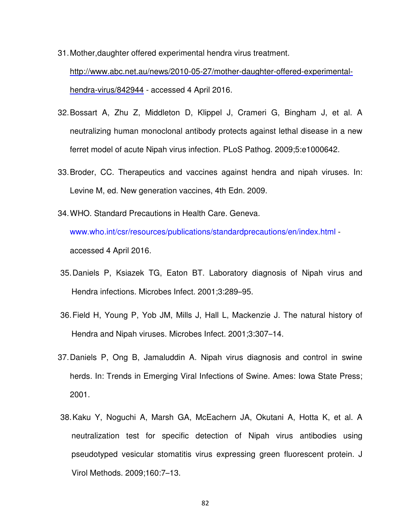- 31. Mother,daughter offered experimental hendra virus treatment. http://www.abc.net.au/news/2010-05-27/mother-daughter-offered-experimentalhendra-virus/842944 - accessed 4 April 2016.
- 32. Bossart A, Zhu Z, Middleton D, Klippel J, Crameri G, Bingham J, et al. A neutralizing human monoclonal antibody protects against lethal disease in a new ferret model of acute Nipah virus infection. PLoS Pathog. 2009;5:e1000642.
- 33. Broder, CC. Therapeutics and vaccines against hendra and nipah viruses. In: Levine M, ed. New generation vaccines, 4th Edn. 2009.
- 34. WHO. Standard Precautions in Health Care. Geneva. www.who.int/csr/resources/publications/standardprecautions/en/index.html accessed 4 April 2016.
- 35. Daniels P, Ksiazek TG, Eaton BT. Laboratory diagnosis of Nipah virus and Hendra infections. Microbes Infect. 2001;3:289–95.
- 36. Field H, Young P, Yob JM, Mills J, Hall L, Mackenzie J. The natural history of Hendra and Nipah viruses. Microbes Infect. 2001;3:307–14.
- 37. Daniels P, Ong B, Jamaluddin A. Nipah virus diagnosis and control in swine herds. In: Trends in Emerging Viral Infections of Swine. Ames: Iowa State Press; 2001.
- 38. Kaku Y, Noguchi A, Marsh GA, McEachern JA, Okutani A, Hotta K, et al. A neutralization test for specific detection of Nipah virus antibodies using pseudotyped vesicular stomatitis virus expressing green fluorescent protein. J Virol Methods. 2009;160:7–13.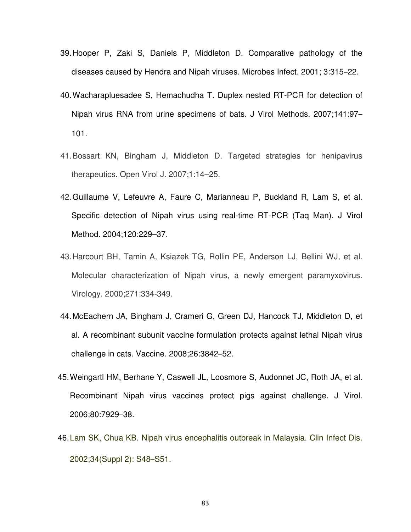- 39. Hooper P, Zaki S, Daniels P, Middleton D. Comparative pathology of the diseases caused by Hendra and Nipah viruses. Microbes Infect. 2001; 3:315–22.
- 40. Wacharapluesadee S, Hemachudha T. Duplex nested RT-PCR for detection of Nipah virus RNA from urine specimens of bats. J Virol Methods. 2007;141:97– 101.
- 41. Bossart KN, Bingham J, Middleton D. Targeted strategies for henipavirus therapeutics. Open Virol J. 2007;1:14–25.
- 42. Guillaume V, Lefeuvre A, Faure C, Marianneau P, Buckland R, Lam S, et al. Specific detection of Nipah virus using real-time RT-PCR (Taq Man). J Virol Method. 2004;120:229–37.
- 43. Harcourt BH, Tamin A, Ksiazek TG, Rollin PE, Anderson LJ, Bellini WJ, et al. Molecular characterization of Nipah virus, a newly emergent paramyxovirus. Virology. 2000;271:334-349.
- 44. McEachern JA, Bingham J, Crameri G, Green DJ, Hancock TJ, Middleton D, et al. A recombinant subunit vaccine formulation protects against lethal Nipah virus challenge in cats. Vaccine. 2008;26:3842–52.
- 45. Weingartl HM, Berhane Y, Caswell JL, Loosmore S, Audonnet JC, Roth JA, et al. Recombinant Nipah virus vaccines protect pigs against challenge. J Virol. 2006;80:7929–38.
- 46. Lam SK, Chua KB. Nipah virus encephalitis outbreak in Malaysia. Clin Infect Dis. 2002;34(Suppl 2): S48–S51.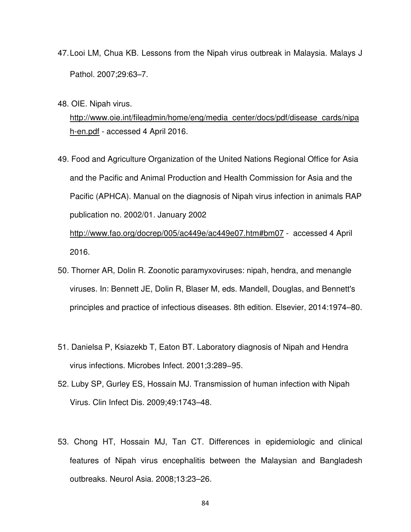- 47. Looi LM, Chua KB. Lessons from the Nipah virus outbreak in Malaysia. Malays J Pathol. 2007;29:63–7.
- 48. OIE. Nipah virus.

http://www.oie.int/fileadmin/home/eng/media\_center/docs/pdf/disease\_cards/nipa h-en.pdf - accessed 4 April 2016.

49. Food and Agriculture Organization of the United Nations Regional Office for Asia and the Pacific and Animal Production and Health Commission for Asia and the Pacific (APHCA). Manual on the diagnosis of Nipah virus infection in animals RAP publication no. 2002/01. January 2002

http://www.fao.org/docrep/005/ac449e/ac449e07.htm#bm07 - accessed 4 April 2016.

- 50. Thorner AR, Dolin R. Zoonotic paramyxoviruses: nipah, hendra, and menangle viruses. In: Bennett JE, Dolin R, Blaser M, eds. Mandell, Douglas, and Bennett's principles and practice of infectious diseases. 8th edition. Elsevier, 2014:1974–80.
- 51. Danielsa P, Ksiazekb T, Eaton BT. Laboratory diagnosis of Nipah and Hendra virus infections. Microbes Infect. 2001;3:289−95.
- 52. Luby SP, Gurley ES, Hossain MJ. Transmission of human infection with Nipah Virus. Clin Infect Dis. 2009;49:1743–48.
- 53. Chong HT, Hossain MJ, Tan CT. Differences in epidemiologic and clinical features of Nipah virus encephalitis between the Malaysian and Bangladesh outbreaks. Neurol Asia. 2008;13:23–26.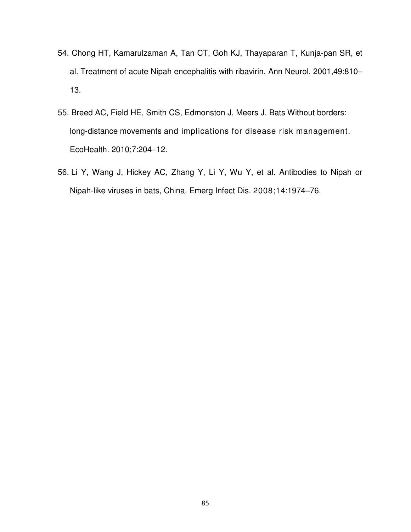- 54. Chong HT, Kamarulzaman A, Tan CT, Goh KJ, Thayaparan T, Kunja-pan SR, et al. Treatment of acute Nipah encephalitis with ribavirin. Ann Neurol. 2001,49:810– 13.
- 55. Breed AC, Field HE, Smith CS, Edmonston J, Meers J. Bats Without borders: long-distance movements and implications for disease risk management. EcoHealth. 2010;7:204–12.
- 56. Li Y, Wang J, Hickey AC, Zhang Y, Li Y, Wu Y, et al. Antibodies to Nipah or Nipah-like viruses in bats, China. Emerg Infect Dis. 2008;14:1974–76.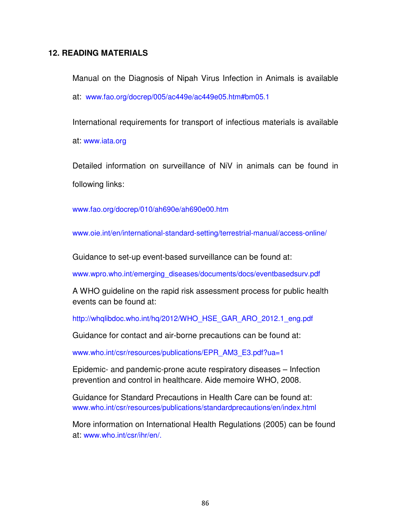## **12. READING MATERIALS**

Manual on the Diagnosis of Nipah Virus Infection in Animals is available at: www.fao.org/docrep/005/ac449e/ac449e05.htm#bm05.1

International requirements for transport of infectious materials is available at: www.iata.org

Detailed information on surveillance of NiV in animals can be found in following links:

www.fao.org/docrep/010/ah690e/ah690e00.htm

www.oie.int/en/international-standard-setting/terrestrial-manual/access-online/

Guidance to set-up event-based surveillance can be found at:

www.wpro.who.int/emerging\_diseases/documents/docs/eventbasedsurv.pdf

A WHO guideline on the rapid risk assessment process for public health events can be found at:

http://whqlibdoc.who.int/hq/2012/WHO\_HSE\_GAR\_ARO\_2012.1\_eng.pdf

Guidance for contact and air-borne precautions can be found at:

www.who.int/csr/resources/publications/EPR\_AM3\_E3.pdf?ua=1

Epidemic- and pandemic-prone acute respiratory diseases – Infection prevention and control in healthcare. Aide memoire WHO, 2008.

Guidance for Standard Precautions in Health Care can be found at: www.who.int/csr/resources/publications/standardprecautions/en/index.html

More information on International Health Regulations (2005) can be found at: www.who.int/csr/ihr/en/.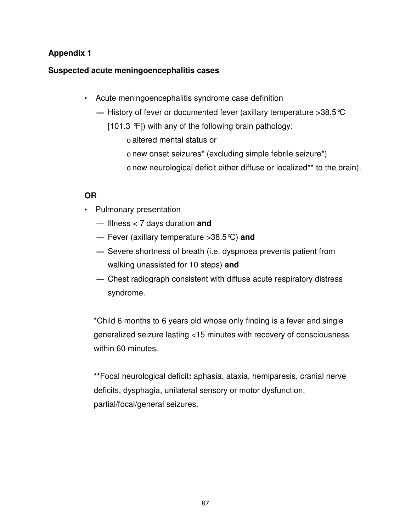# **Suspected acute meningoencephalitis cases**

- Acute meningoencephalitis syndrome case definition
	- **—** History of fever or documented fever (axillary temperature >38.5°C
		- [101.3 °F]) with any of the following brain pathology:
			- o altered mental status or
			- o new onset seizures\* (excluding simple febrile seizure\*)
			- o new neurological deficit either diffuse or localized\*\* to the brain).

# **OR**

- Pulmonary presentation
	- Illness < 7 days duration **and**
	- **—** Fever (axillary temperature >38.5°C) **and**
	- **—** Severe shortness of breath (i.e. dyspnoea prevents patient from walking unassisted for 10 steps) **and**
	- Chest radiograph consistent with diffuse acute respiratory distress syndrome.

\*Child 6 months to 6 years old whose only finding is a fever and single generalized seizure lasting <15 minutes with recovery of consciousness within 60 minutes.

**\*\***Focal neurological deficit**:** aphasia, ataxia, hemiparesis, cranial nerve deficits, dysphagia, unilateral sensory or motor dysfunction, partial/focal/general seizures.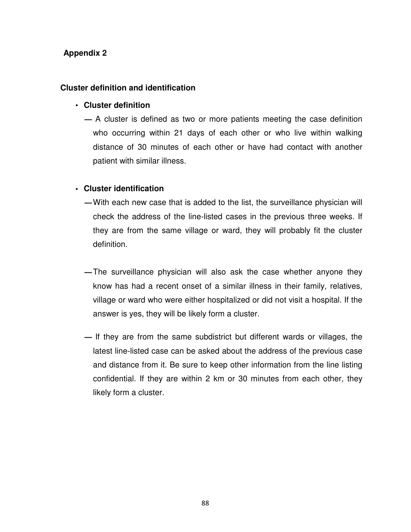## **Cluster definition and identification**

### • **Cluster definition**

**—** A cluster is defined as two or more patients meeting the case definition who occurring within 21 days of each other or who live within walking distance of 30 minutes of each other or have had contact with another patient with similar illness.

## **• Cluster identification**

- **—**With each new case that is added to the list, the surveillance physician will check the address of the line-listed cases in the previous three weeks. If they are from the same village or ward, they will probably fit the cluster definition.
- **—**The surveillance physician will also ask the case whether anyone they know has had a recent onset of a similar illness in their family, relatives, village or ward who were either hospitalized or did not visit a hospital. If the answer is yes, they will be likely form a cluster.
- **—** If they are from the same subdistrict but different wards or villages, the latest line-listed case can be asked about the address of the previous case and distance from it. Be sure to keep other information from the line listing confidential. If they are within 2 km or 30 minutes from each other, they likely form a cluster.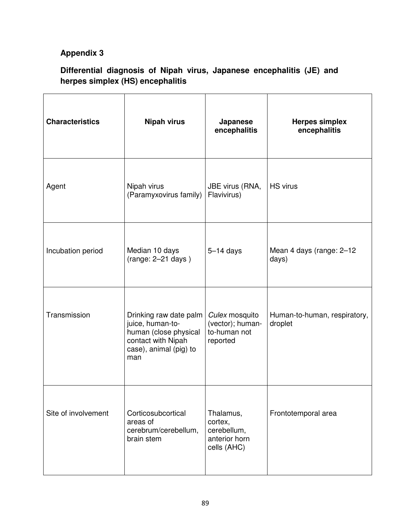# **Differential diagnosis of Nipah virus, Japanese encephalitis (JE) and herpes simplex (HS) encephalitis**

| <b>Characteristics</b> | <b>Nipah virus</b>                                                                                                         | Japanese<br>encephalitis                                            | <b>Herpes simplex</b><br>encephalitis   |
|------------------------|----------------------------------------------------------------------------------------------------------------------------|---------------------------------------------------------------------|-----------------------------------------|
| Agent                  | Nipah virus<br>(Paramyxovirus family)                                                                                      | JBE virus (RNA,<br>Flavivirus)                                      | <b>HS virus</b>                         |
| Incubation period      | Median 10 days<br>$(range: 2-21 days)$                                                                                     | $5-14$ days                                                         | Mean 4 days (range: 2-12<br>days)       |
| Transmission           | Drinking raw date palm<br>juice, human-to-<br>human (close physical<br>contact with Nipah<br>case), animal (pig) to<br>man | Culex mosquito<br>(vector); human-<br>to-human not<br>reported      | Human-to-human, respiratory,<br>droplet |
| Site of involvement    | Corticosubcortical<br>areas of<br>cerebrum/cerebellum,<br>brain stem                                                       | Thalamus,<br>cortex,<br>cerebellum,<br>anterior horn<br>cells (AHC) | Frontotemporal area                     |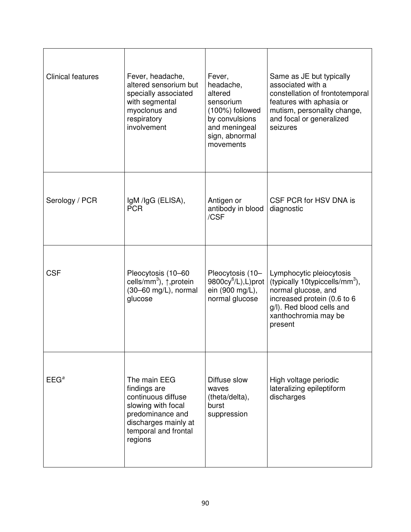| <b>Clinical features</b> | Fever, headache,<br>altered sensorium but<br>specially associated<br>with segmental<br>myoclonus and<br>respiratory<br>involvement                      | Fever,<br>headache,<br>altered<br>sensorium<br>(100%) followed<br>by convulsions<br>and meningeal<br>sign, abnormal<br>movements | Same as JE but typically<br>associated with a<br>constellation of frontotemporal<br>features with aphasia or<br>mutism, personality change,<br>and focal or generalized<br>seizures          |
|--------------------------|---------------------------------------------------------------------------------------------------------------------------------------------------------|----------------------------------------------------------------------------------------------------------------------------------|----------------------------------------------------------------------------------------------------------------------------------------------------------------------------------------------|
| Serology / PCR           | IgM /IgG (ELISA),<br><b>PCR</b>                                                                                                                         | Antigen or<br>antibody in blood<br>/CSF                                                                                          | CSF PCR for HSV DNA is<br>diagnostic                                                                                                                                                         |
| <b>CSF</b>               | Pleocytosis (10-60<br>cells/mm <sup>3</sup> ), ↑,protein<br>$(30-60$ mg/L), normal<br>glucose                                                           | Pleocytosis (10-<br>$9800cy^6/L$ , L)prot<br>ein (900 mg/L),<br>normal glucose                                                   | Lymphocytic pleiocytosis<br>(typically 10typiccells/mm <sup>3</sup> ),<br>normal glucose, and<br>increased protein (0.6 to 6<br>g/l). Red blood cells and<br>xanthochromia may be<br>present |
| EEG <sup>a</sup>         | The main EEG<br>findings are<br>continuous diffuse<br>slowing with focal<br>predominance and<br>discharges mainly at<br>temporal and frontal<br>regions | Diffuse slow<br>waves<br>(theta/delta),<br>burst<br>suppression                                                                  | High voltage periodic<br>lateralizing epileptiform<br>discharges                                                                                                                             |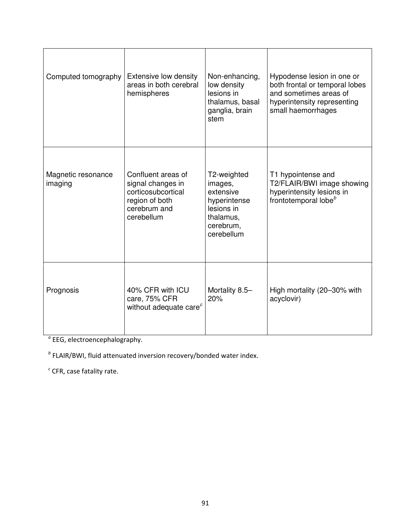| Computed tomography           | Extensive low density<br>areas in both cerebral<br>hemispheres                                                | Non-enhancing,<br>low density<br>lesions in<br>thalamus, basal<br>ganglia, brain<br>stem                  | Hypodense lesion in one or<br>both frontal or temporal lobes<br>and sometimes areas of<br>hyperintensity representing<br>small haemorrhages |
|-------------------------------|---------------------------------------------------------------------------------------------------------------|-----------------------------------------------------------------------------------------------------------|---------------------------------------------------------------------------------------------------------------------------------------------|
| Magnetic resonance<br>imaging | Confluent areas of<br>signal changes in<br>corticosubcortical<br>region of both<br>cerebrum and<br>cerebellum | T2-weighted<br>images,<br>extensive<br>hyperintense<br>lesions in<br>thalamus,<br>cerebrum,<br>cerebellum | T1 hypointense and<br>T2/FLAIR/BWI image showing<br>hyperintensity lesions in<br>frontotemporal lobe <sup>b</sup>                           |
| Prognosis                     | 40% CFR with ICU<br>care, 75% CFR<br>without adequate care <sup>c</sup>                                       | Mortality 8.5-<br>20%                                                                                     | High mortality (20-30% with<br>acyclovir)                                                                                                   |

<sup>a</sup> EEG, electroencephalography.

 $<sup>b</sup>$  FLAIR/BWI, fluid attenuated inversion recovery/bonded water index.</sup>

 $\textdegree$  CFR, case fatality rate.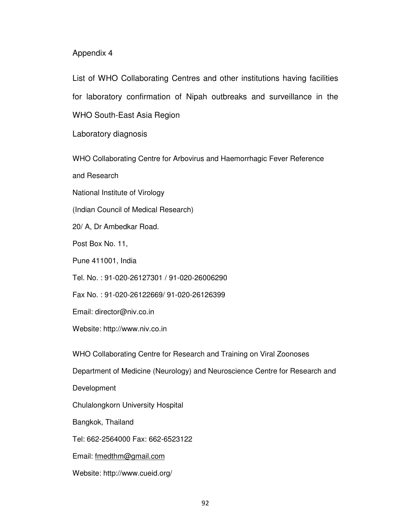List of WHO Collaborating Centres and other institutions having facilities for laboratory confirmation of Nipah outbreaks and surveillance in the WHO South-East Asia Region

Laboratory diagnosis

WHO Collaborating Centre for Arbovirus and Haemorrhagic Fever Reference

and Research

National Institute of Virology

(Indian Council of Medical Research)

20/ A, Dr Ambedkar Road.

Post Box No. 11,

Pune 411001, India

Tel. No. : 91-020-26127301 / 91-020-26006290

Fax No. : 91-020-26122669/ 91-020-26126399

Email: director@niv.co.in

Website: http://www.niv.co.in

WHO Collaborating Centre for Research and Training on Viral Zoonoses

Department of Medicine (Neurology) and Neuroscience Centre for Research and

Development

Chulalongkorn University Hospital

Bangkok, Thailand

Tel: 662-2564000 Fax: 662-6523122

Email: fmedthm@gmail.com

Website: http://www.cueid.org/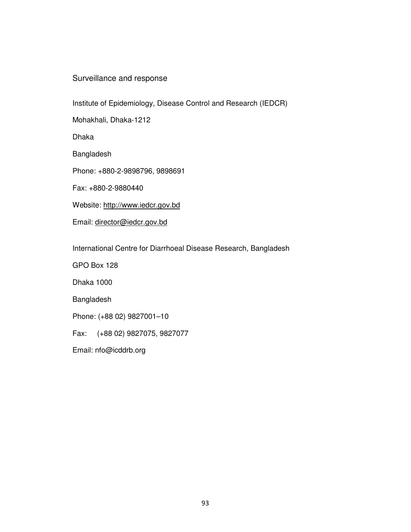## Surveillance and response

Institute of Epidemiology, Disease Control and Research (IEDCR)

Mohakhali, Dhaka-1212

Dhaka

Bangladesh

Phone: +880-2-9898796, 9898691

Fax: +880-2-9880440

Website: http://www.iedcr.gov.bd

Email: director@iedcr.gov.bd

International Centre for Diarrhoeal Disease Research, Bangladesh

GPO Box 128

Dhaka 1000

Bangladesh

Phone: (+88 02) 9827001–10

Fax: (+88 02) 9827075, 9827077

Email: nfo@icddrb.org